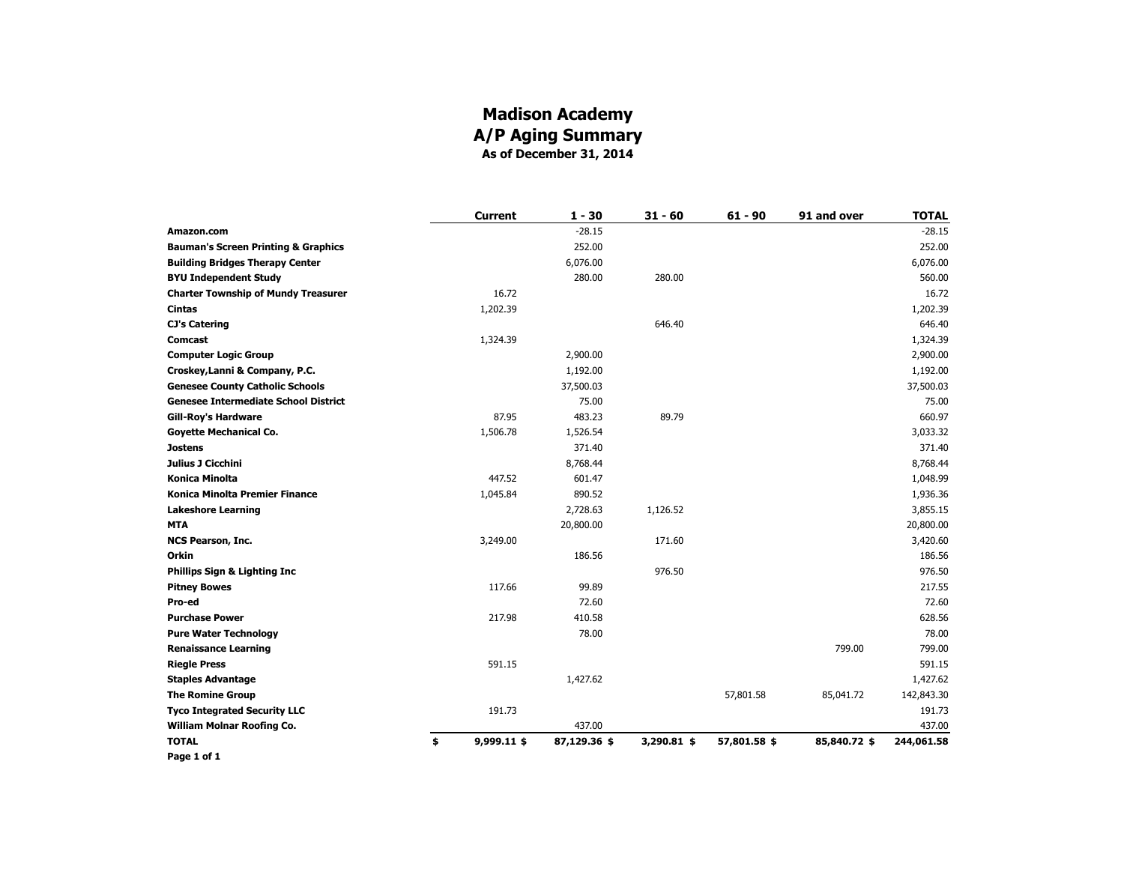#### **Madison Academy A/P Aging Summary As of December 31, 2014**

|                                                | <b>Current</b>    | $1 - 30$     | $31 - 60$   | $61 - 90$    | 91 and over  | <b>TOTAL</b> |
|------------------------------------------------|-------------------|--------------|-------------|--------------|--------------|--------------|
| Amazon.com                                     |                   | $-28.15$     |             |              |              | $-28.15$     |
| <b>Bauman's Screen Printing &amp; Graphics</b> |                   | 252.00       |             |              |              | 252.00       |
| <b>Building Bridges Therapy Center</b>         |                   | 6,076.00     |             |              |              | 6,076.00     |
| <b>BYU Independent Study</b>                   |                   | 280.00       | 280.00      |              |              | 560.00       |
| <b>Charter Township of Mundy Treasurer</b>     | 16.72             |              |             |              |              | 16.72        |
| Cintas                                         | 1,202.39          |              |             |              |              | 1,202.39     |
| <b>CJ's Catering</b>                           |                   |              | 646.40      |              |              | 646.40       |
| Comcast                                        | 1,324.39          |              |             |              |              | 1,324.39     |
| <b>Computer Logic Group</b>                    |                   | 2,900.00     |             |              |              | 2,900.00     |
| Croskey, Lanni & Company, P.C.                 |                   | 1,192.00     |             |              |              | 1,192.00     |
| <b>Genesee County Catholic Schools</b>         |                   | 37,500.03    |             |              |              | 37,500.03    |
| <b>Genesee Intermediate School District</b>    |                   | 75.00        |             |              |              | 75.00        |
| <b>Gill-Roy's Hardware</b>                     | 87.95             | 483.23       | 89.79       |              |              | 660.97       |
| <b>Goyette Mechanical Co.</b>                  | 1,506.78          | 1,526.54     |             |              |              | 3,033.32     |
| <b>Jostens</b>                                 |                   | 371.40       |             |              |              | 371.40       |
| Julius J Cicchini                              |                   | 8,768.44     |             |              |              | 8,768.44     |
| Konica Minolta                                 | 447.52            | 601.47       |             |              |              | 1,048.99     |
| <b>Konica Minolta Premier Finance</b>          | 1,045.84          | 890.52       |             |              |              | 1,936.36     |
| <b>Lakeshore Learning</b>                      |                   | 2,728.63     | 1,126.52    |              |              | 3,855.15     |
| <b>MTA</b>                                     |                   | 20,800.00    |             |              |              | 20,800.00    |
| <b>NCS Pearson, Inc.</b>                       | 3,249.00          |              | 171.60      |              |              | 3,420.60     |
| <b>Orkin</b>                                   |                   | 186.56       |             |              |              | 186.56       |
| <b>Phillips Sign &amp; Lighting Inc</b>        |                   |              | 976.50      |              |              | 976.50       |
| <b>Pitney Bowes</b>                            | 117.66            | 99.89        |             |              |              | 217.55       |
| Pro-ed                                         |                   | 72.60        |             |              |              | 72.60        |
| <b>Purchase Power</b>                          | 217.98            | 410.58       |             |              |              | 628.56       |
| <b>Pure Water Technology</b>                   |                   | 78.00        |             |              |              | 78.00        |
| <b>Renaissance Learning</b>                    |                   |              |             |              | 799.00       | 799.00       |
| <b>Riegle Press</b>                            | 591.15            |              |             |              |              | 591.15       |
| <b>Staples Advantage</b>                       |                   | 1,427.62     |             |              |              | 1,427.62     |
| <b>The Romine Group</b>                        |                   |              |             | 57,801.58    | 85,041.72    | 142,843.30   |
| <b>Tyco Integrated Security LLC</b>            | 191.73            |              |             |              |              | 191.73       |
| William Molnar Roofing Co.                     |                   | 437.00       |             |              |              | 437.00       |
| <b>TOTAL</b>                                   | \$<br>9,999.11 \$ | 87,129.36 \$ | 3,290.81 \$ | 57,801.58 \$ | 85,840.72 \$ | 244,061.58   |
| Page 1 of 1                                    |                   |              |             |              |              |              |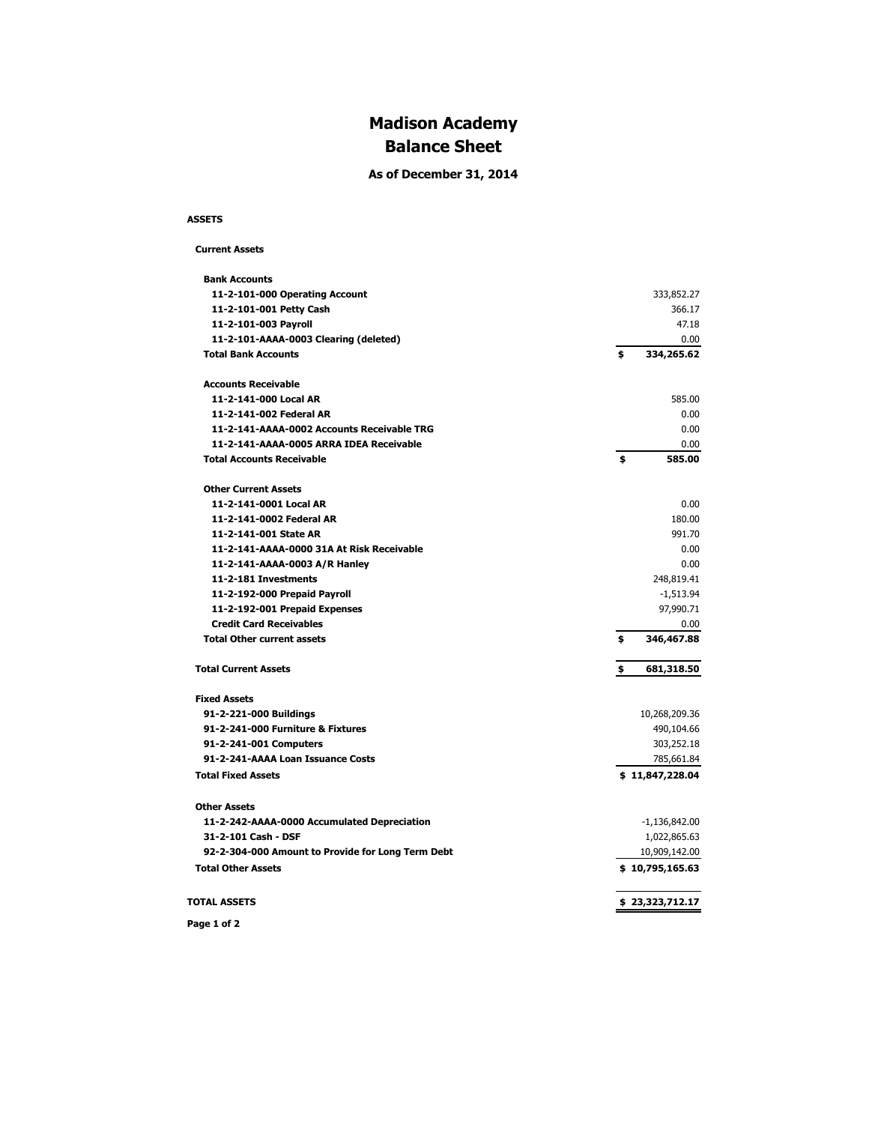# **Madison Academy Balance Sheet**

**As of December 31, 2014**

#### **ASSETS**

```
 Current Assets
```

| <b>Bank Accounts</b>                              |                  |
|---------------------------------------------------|------------------|
| 11-2-101-000 Operating Account                    | 333,852.27       |
| 11-2-101-001 Petty Cash                           | 366.17           |
| 11-2-101-003 Payroll                              | 47.18            |
| 11-2-101-AAAA-0003 Clearing (deleted)             | 0.00             |
| <b>Total Bank Accounts</b>                        | \$<br>334,265.62 |
| <b>Accounts Receivable</b>                        |                  |
| 11-2-141-000 Local AR                             | 585.00           |
| 11-2-141-002 Federal AR                           | 0.00             |
| 11-2-141-AAAA-0002 Accounts Receivable TRG        | 0.00             |
| 11-2-141-AAAA-0005 ARRA IDEA Receivable           | 0.00             |
| <b>Total Accounts Receivable</b>                  | \$<br>585.00     |
| <b>Other Current Assets</b>                       |                  |
| 11-2-141-0001 Local AR                            | 0.00             |
| 11-2-141-0002 Federal AR                          | 180.00           |
| 11-2-141-001 State AR                             | 991.70           |
| 11-2-141-AAAA-0000 31A At Risk Receivable         | 0.00             |
| 11-2-141-AAAA-0003 A/R Hanley                     | 0.00             |
| 11-2-181 Investments                              | 248,819.41       |
| 11-2-192-000 Prepaid Payroll                      | $-1,513.94$      |
| 11-2-192-001 Prepaid Expenses                     | 97,990.71        |
| <b>Credit Card Receivables</b>                    | 0.00             |
| <b>Total Other current assets</b>                 | \$<br>346,467.88 |
| <b>Total Current Assets</b>                       | \$<br>681,318.50 |
| <b>Fixed Assets</b>                               |                  |
| 91-2-221-000 Buildings                            | 10,268,209.36    |
| 91-2-241-000 Furniture & Fixtures                 | 490,104.66       |
| 91-2-241-001 Computers                            | 303,252.18       |
| 91-2-241-AAAA Loan Issuance Costs                 | 785,661.84       |
| <b>Total Fixed Assets</b>                         | \$11,847,228.04  |
| <b>Other Assets</b>                               |                  |
| 11-2-242-AAAA-0000 Accumulated Depreciation       | $-1,136,842.00$  |
| 31-2-101 Cash - DSF                               | 1,022,865.63     |
| 92-2-304-000 Amount to Provide for Long Term Debt | 10,909,142.00    |
| <b>Total Other Assets</b>                         | \$10,795,165.63  |
| <b>TOTAL ASSETS</b>                               | \$23,323,712.17  |
|                                                   |                  |

**Page 1 of 2**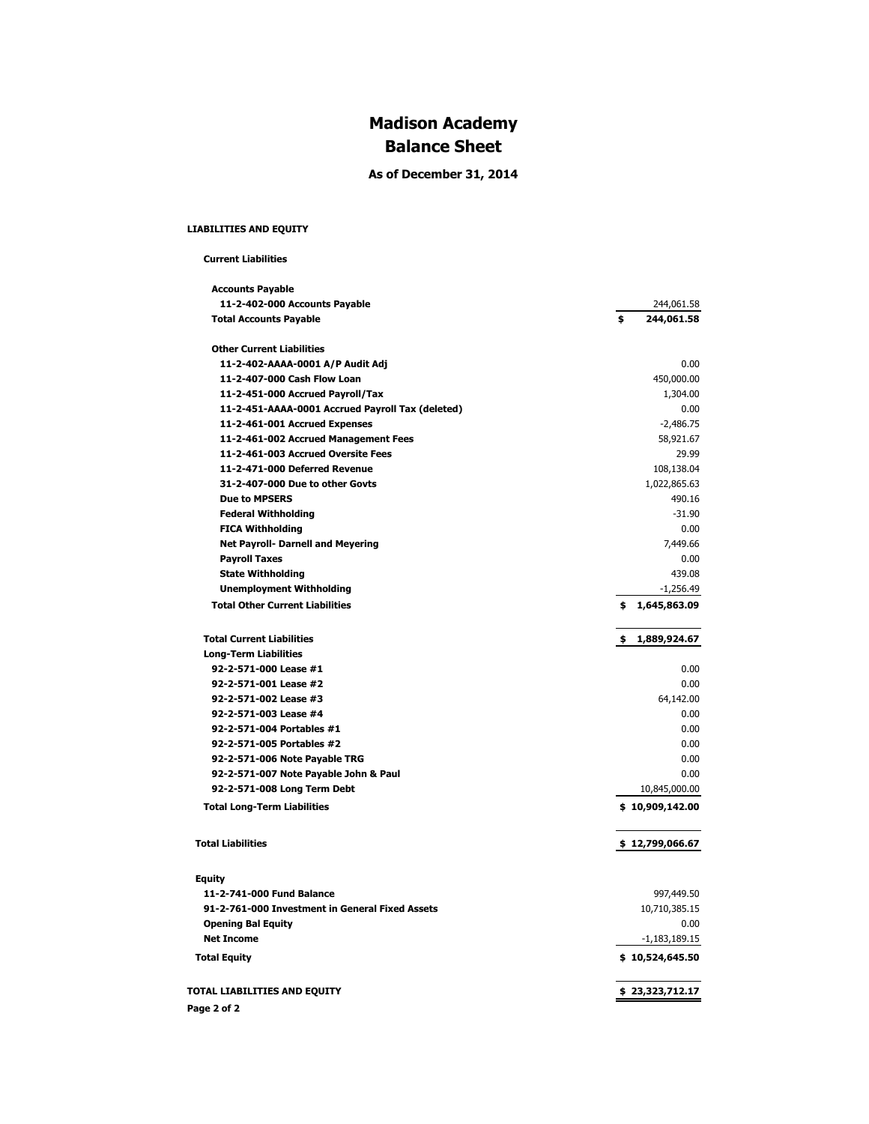# **Madison Academy Balance Sheet**

**As of December 31, 2014**

#### **LIABILITIES AND EQUITY**

#### **Current Liabilities**

| <b>Accounts Payable</b>                          |                    |
|--------------------------------------------------|--------------------|
| 11-2-402-000 Accounts Payable                    | 244,061.58         |
| <b>Total Accounts Payable</b>                    | \$<br>244,061.58   |
| <b>Other Current Liabilities</b>                 |                    |
| 11-2-402-AAAA-0001 A/P Audit Adj                 | 0.00               |
| 11-2-407-000 Cash Flow Loan                      | 450,000.00         |
| 11-2-451-000 Accrued Payroll/Tax                 | 1,304.00           |
| 11-2-451-AAAA-0001 Accrued Payroll Tax (deleted) | 0.00               |
| 11-2-461-001 Accrued Expenses                    | $-2,486.75$        |
| 11-2-461-002 Accrued Management Fees             | 58,921.67          |
| 11-2-461-003 Accrued Oversite Fees               | 29.99              |
| 11-2-471-000 Deferred Revenue                    | 108,138.04         |
| 31-2-407-000 Due to other Govts                  | 1,022,865.63       |
| <b>Due to MPSERS</b>                             | 490.16             |
| <b>Federal Withholding</b>                       | $-31.90$           |
| <b>FICA Withholding</b>                          | 0.00               |
| <b>Net Payroll- Darnell and Meyering</b>         | 7,449.66           |
| <b>Payroll Taxes</b>                             | 0.00               |
| <b>State Withholding</b>                         | 439.08             |
| <b>Unemployment Withholding</b>                  | $-1,256.49$        |
| <b>Total Other Current Liabilities</b>           | \$1,645,863.09     |
| <b>Total Current Liabilities</b>                 | 1,889,924.67<br>\$ |
| <b>Long-Term Liabilities</b>                     |                    |
| 92-2-571-000 Lease #1                            | 0.00               |
| 92-2-571-001 Lease #2                            | 0.00               |
| 92-2-571-002 Lease #3                            | 64,142.00          |
| 92-2-571-003 Lease #4                            | 0.00               |
| 92-2-571-004 Portables #1                        | 0.00               |
| 92-2-571-005 Portables #2                        | 0.00               |
| 92-2-571-006 Note Payable TRG                    | 0.00               |
| 92-2-571-007 Note Payable John & Paul            | 0.00               |
| 92-2-571-008 Long Term Debt                      | 10,845,000.00      |
| <b>Total Long-Term Liabilities</b>               | \$10,909,142.00    |
| <b>Total Liabilities</b>                         | \$12,799,066.67    |
|                                                  |                    |
| <b>Equity</b>                                    |                    |
| 11-2-741-000 Fund Balance                        | 997,449.50         |
| 91-2-761-000 Investment in General Fixed Assets  | 10,710,385.15      |
| <b>Opening Bal Equity</b>                        | 0.00               |
| <b>Net Income</b>                                | $-1,183,189.15$    |
| <b>Total Equity</b>                              | \$10,524,645.50    |
| TOTAL LIABILITIES AND EQUITY                     | \$23,323,712.17    |
| Page 2 of 2                                      |                    |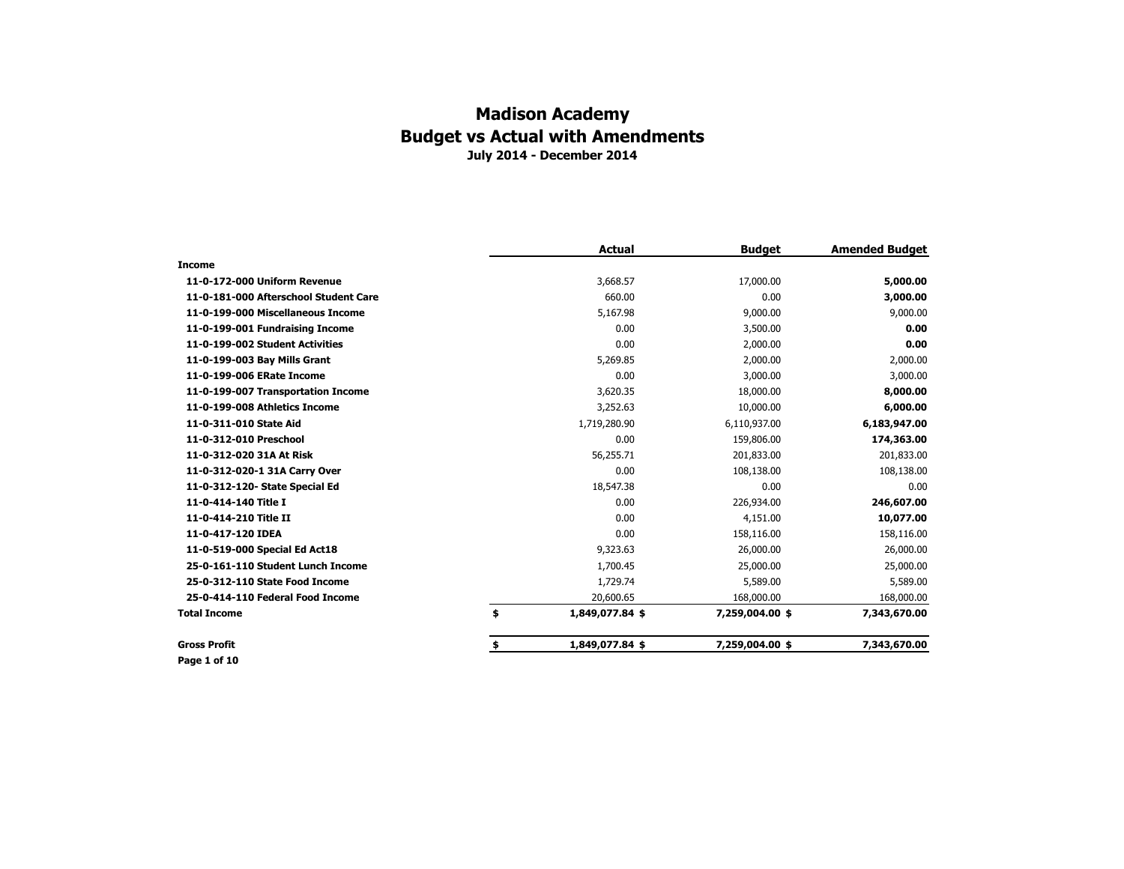|                                       | <b>Actual</b>         | <b>Budget</b>   | <b>Amended Budget</b> |
|---------------------------------------|-----------------------|-----------------|-----------------------|
| <b>Income</b>                         |                       |                 |                       |
| 11-0-172-000 Uniform Revenue          | 3,668.57              | 17,000.00       | 5,000.00              |
| 11-0-181-000 Afterschool Student Care | 660.00                | 0.00            | 3,000.00              |
| 11-0-199-000 Miscellaneous Income     | 5,167.98              | 9,000.00        | 9,000.00              |
| 11-0-199-001 Fundraising Income       | 0.00                  | 3,500.00        | 0.00                  |
| 11-0-199-002 Student Activities       | 0.00                  | 2,000.00        | 0.00                  |
| 11-0-199-003 Bay Mills Grant          | 5,269.85              | 2,000.00        | 2,000.00              |
| 11-0-199-006 ERate Income             | 0.00                  | 3,000.00        | 3,000.00              |
| 11-0-199-007 Transportation Income    | 3,620.35              | 18,000.00       | 8,000.00              |
| 11-0-199-008 Athletics Income         | 3,252.63              | 10,000.00       | 6,000.00              |
| 11-0-311-010 State Aid                | 1,719,280.90          | 6,110,937.00    | 6,183,947.00          |
| 11-0-312-010 Preschool                | 0.00                  | 159,806.00      | 174,363.00            |
| 11-0-312-020 31A At Risk              | 56,255.71             | 201,833.00      | 201,833.00            |
| 11-0-312-020-1 31A Carry Over         | 0.00                  | 108,138.00      | 108,138.00            |
| 11-0-312-120- State Special Ed        | 18,547.38             | 0.00            | 0.00                  |
| 11-0-414-140 Title I                  | 0.00                  | 226,934.00      | 246,607.00            |
| 11-0-414-210 Title II                 | 0.00                  | 4,151.00        | 10,077.00             |
| 11-0-417-120 IDEA                     | 0.00                  | 158,116.00      | 158,116.00            |
| 11-0-519-000 Special Ed Act18         | 9,323.63              | 26,000.00       | 26,000.00             |
| 25-0-161-110 Student Lunch Income     | 1,700.45              | 25,000.00       | 25,000.00             |
| 25-0-312-110 State Food Income        | 1,729.74              | 5,589.00        | 5,589.00              |
| 25-0-414-110 Federal Food Income      | 20,600.65             | 168,000.00      | 168,000.00            |
| <b>Total Income</b>                   | \$<br>1,849,077.84 \$ | 7,259,004.00 \$ | 7,343,670.00          |
| <b>Gross Profit</b>                   | \$<br>1,849,077.84 \$ | 7,259,004.00 \$ | 7,343,670.00          |

**Page 1 of 10**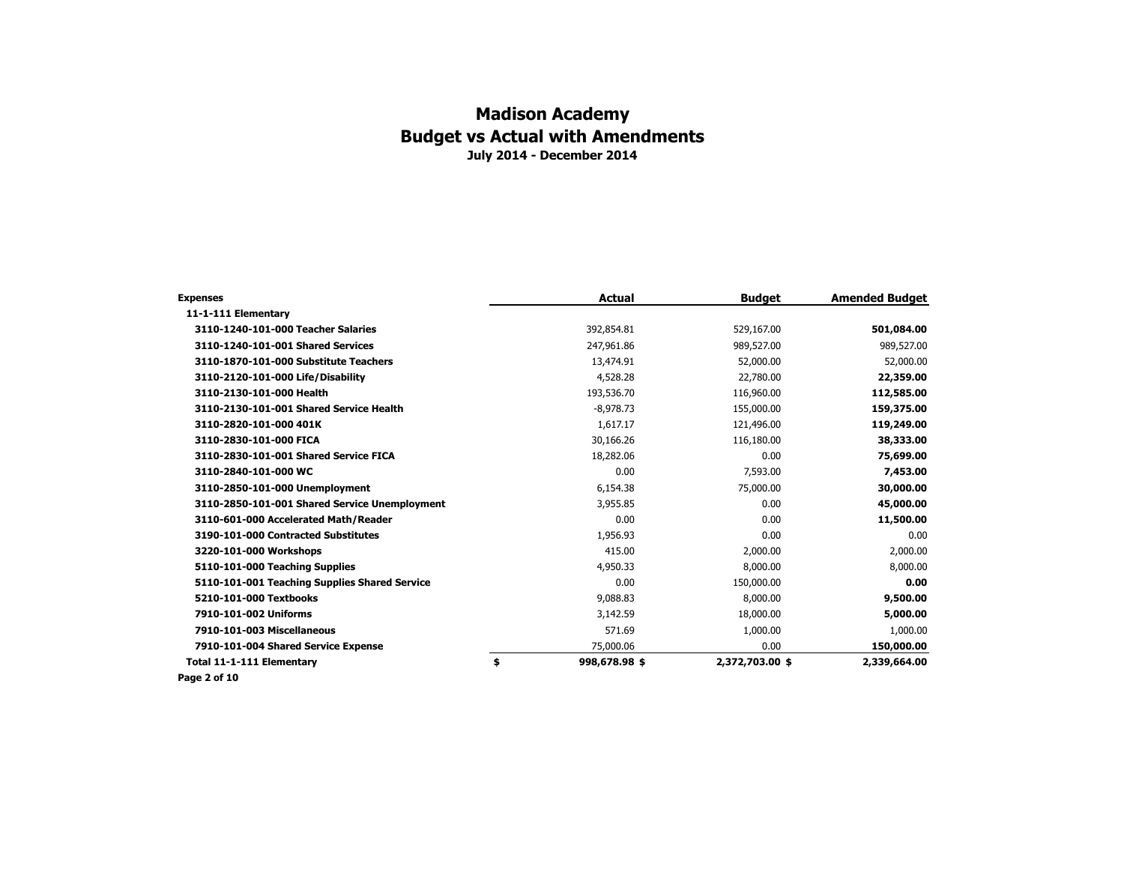| <b>Expenses</b>                               | <b>Actual</b>       | <b>Budget</b>   | <b>Amended Budget</b> |
|-----------------------------------------------|---------------------|-----------------|-----------------------|
| 11-1-111 Elementary                           |                     |                 |                       |
| 3110-1240-101-000 Teacher Salaries            | 392,854.81          | 529,167.00      | 501,084.00            |
| 3110-1240-101-001 Shared Services             | 247,961.86          | 989,527.00      | 989,527.00            |
| 3110-1870-101-000 Substitute Teachers         | 13,474.91           | 52,000.00       | 52,000.00             |
| 3110-2120-101-000 Life/Disability             | 4,528.28            | 22,780.00       | 22,359.00             |
| 3110-2130-101-000 Health                      | 193,536.70          | 116,960.00      | 112,585.00            |
| 3110-2130-101-001 Shared Service Health       | $-8,978.73$         | 155,000.00      | 159,375.00            |
| 3110-2820-101-000 401K                        | 1,617.17            | 121,496.00      | 119,249.00            |
| 3110-2830-101-000 FICA                        | 30,166.26           | 116,180.00      | 38,333.00             |
| 3110-2830-101-001 Shared Service FICA         | 18,282.06           | 0.00            | 75,699.00             |
| 3110-2840-101-000 WC                          | 0.00                | 7,593.00        | 7,453.00              |
| 3110-2850-101-000 Unemployment                | 6,154.38            | 75,000.00       | 30,000.00             |
| 3110-2850-101-001 Shared Service Unemployment | 3,955.85            | 0.00            | 45,000.00             |
| 3110-601-000 Accelerated Math/Reader          | 0.00                | 0.00            | 11,500.00             |
| 3190-101-000 Contracted Substitutes           | 1,956.93            | 0.00            | 0.00                  |
| 3220-101-000 Workshops                        | 415.00              | 2,000.00        | 2,000.00              |
| 5110-101-000 Teaching Supplies                | 4,950.33            | 8,000.00        | 8,000.00              |
| 5110-101-001 Teaching Supplies Shared Service | 0.00                | 150,000.00      | 0.00                  |
| 5210-101-000 Textbooks                        | 9,088.83            | 8,000.00        | 9,500.00              |
| 7910-101-002 Uniforms                         | 3,142.59            | 18,000.00       | 5,000.00              |
| 7910-101-003 Miscellaneous                    | 571.69              | 1,000.00        | 1,000.00              |
| 7910-101-004 Shared Service Expense           | 75,000.06           | 0.00            | 150,000.00            |
| Total 11-1-111 Elementary                     | \$<br>998,678.98 \$ | 2,372,703.00 \$ | 2,339,664.00          |
| Page 2 of 10                                  |                     |                 |                       |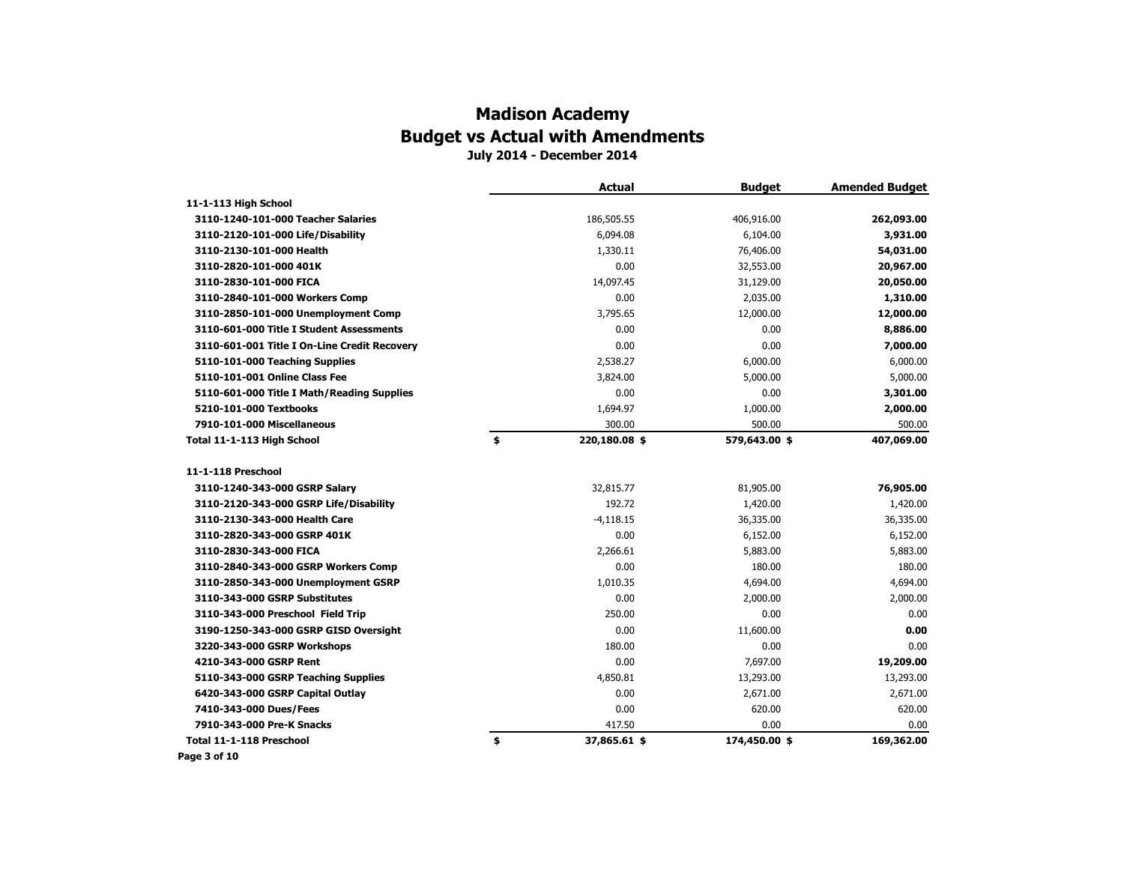# **Madison Academy Budget vs Actual with Amendments**

**July 2014 - December 2014**

|                                              | <b>Actual</b>       | <b>Budget</b> | <b>Amended Budget</b> |
|----------------------------------------------|---------------------|---------------|-----------------------|
| 11-1-113 High School                         |                     |               |                       |
| 3110-1240-101-000 Teacher Salaries           | 186,505.55          | 406,916.00    | 262,093.00            |
| 3110-2120-101-000 Life/Disability            | 6,094.08            | 6,104.00      | 3,931.00              |
| 3110-2130-101-000 Health                     | 1,330.11            | 76,406.00     | 54,031.00             |
| 3110-2820-101-000 401K                       | 0.00                | 32,553.00     | 20,967.00             |
| 3110-2830-101-000 FICA                       | 14,097.45           | 31,129.00     | 20,050.00             |
| 3110-2840-101-000 Workers Comp               | 0.00                | 2,035.00      | 1,310.00              |
| 3110-2850-101-000 Unemployment Comp          | 3,795.65            | 12,000.00     | 12,000.00             |
| 3110-601-000 Title I Student Assessments     | 0.00                | 0.00          | 8,886.00              |
| 3110-601-001 Title I On-Line Credit Recovery | 0.00                | 0.00          | 7,000.00              |
| 5110-101-000 Teaching Supplies               | 2,538.27            | 6,000.00      | 6,000.00              |
| 5110-101-001 Online Class Fee                | 3,824.00            | 5,000.00      | 5,000.00              |
| 5110-601-000 Title I Math/Reading Supplies   | 0.00                | 0.00          | 3,301.00              |
| 5210-101-000 Textbooks                       | 1,694.97            | 1,000.00      | 2,000.00              |
| 7910-101-000 Miscellaneous                   | 300.00              | 500.00        | 500.00                |
| Total 11-1-113 High School                   | \$<br>220,180.08 \$ | 579,643.00 \$ | 407,069.00            |
| 11-1-118 Preschool                           |                     |               |                       |
| 3110-1240-343-000 GSRP Salary                | 32,815.77           | 81,905.00     | 76,905.00             |
| 3110-2120-343-000 GSRP Life/Disability       | 192.72              | 1,420.00      | 1,420.00              |
| 3110-2130-343-000 Health Care                | $-4,118.15$         | 36,335.00     | 36,335.00             |
| 3110-2820-343-000 GSRP 401K                  | 0.00                | 6,152.00      | 6,152.00              |
| 3110-2830-343-000 FICA                       | 2,266.61            | 5,883.00      | 5,883.00              |
| 3110-2840-343-000 GSRP Workers Comp          | 0.00                | 180.00        | 180.00                |
| 3110-2850-343-000 Unemployment GSRP          | 1,010.35            | 4,694.00      | 4,694.00              |
| 3110-343-000 GSRP Substitutes                | 0.00                | 2,000.00      | 2,000.00              |
| 3110-343-000 Preschool Field Trip            | 250.00              | 0.00          | 0.00                  |
| 3190-1250-343-000 GSRP GISD Oversight        | 0.00                | 11,600.00     | 0.00                  |
| 3220-343-000 GSRP Workshops                  | 180.00              | 0.00          | 0.00                  |
| 4210-343-000 GSRP Rent                       | 0.00                | 7,697.00      | 19,209.00             |
| 5110-343-000 GSRP Teaching Supplies          | 4,850.81            | 13,293.00     | 13,293.00             |
| 6420-343-000 GSRP Capital Outlay             | 0.00                | 2,671.00      | 2,671.00              |
| 7410-343-000 Dues/Fees                       | 0.00                | 620.00        | 620.00                |
| 7910-343-000 Pre-K Snacks                    | 417.50              | 0.00          | 0.00                  |
| Total 11-1-118 Preschool                     | \$<br>37,865.61 \$  | 174,450.00 \$ | 169,362.00            |
| Page 3 of 10                                 |                     |               |                       |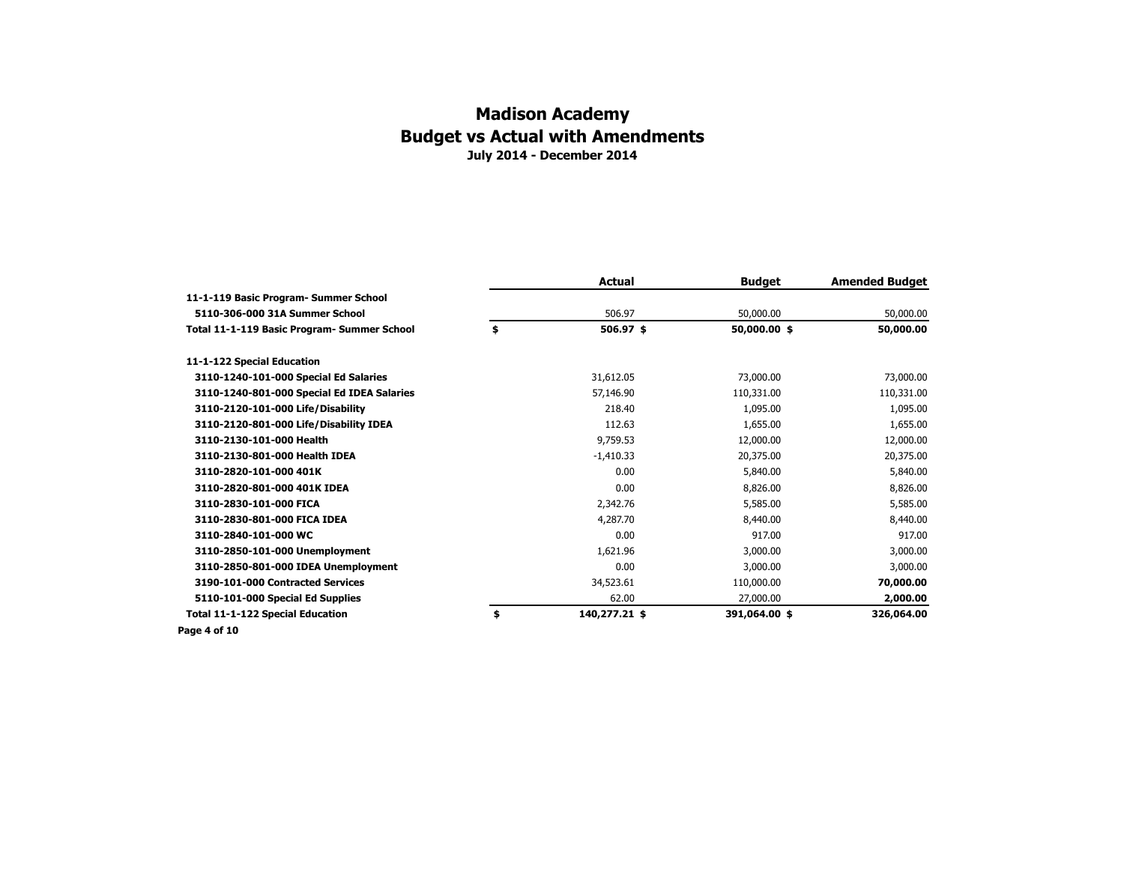|                                             | <b>Actual</b>       | <b>Budget</b> | <b>Amended Budget</b> |
|---------------------------------------------|---------------------|---------------|-----------------------|
| 11-1-119 Basic Program- Summer School       |                     |               |                       |
| 5110-306-000 31A Summer School              | 506.97              | 50,000.00     | 50,000.00             |
| Total 11-1-119 Basic Program- Summer School | \$<br>506.97 \$     | 50,000.00 \$  | 50,000.00             |
| 11-1-122 Special Education                  |                     |               |                       |
| 3110-1240-101-000 Special Ed Salaries       | 31,612.05           | 73,000.00     | 73,000.00             |
| 3110-1240-801-000 Special Ed IDEA Salaries  | 57,146.90           | 110,331.00    | 110,331.00            |
| 3110-2120-101-000 Life/Disability           | 218.40              | 1,095.00      | 1,095.00              |
| 3110-2120-801-000 Life/Disability IDEA      | 112.63              | 1,655.00      | 1,655.00              |
| 3110-2130-101-000 Health                    | 9,759.53            | 12,000.00     | 12,000.00             |
| 3110-2130-801-000 Health IDEA               | $-1,410.33$         | 20,375.00     | 20,375.00             |
| 3110-2820-101-000 401K                      | 0.00                | 5,840.00      | 5,840.00              |
| 3110-2820-801-000 401K IDEA                 | 0.00                | 8,826.00      | 8,826.00              |
| 3110-2830-101-000 FICA                      | 2,342.76            | 5,585.00      | 5,585.00              |
| 3110-2830-801-000 FICA IDEA                 | 4,287,70            | 8,440,00      | 8,440.00              |
| 3110-2840-101-000 WC                        | 0.00                | 917.00        | 917.00                |
| 3110-2850-101-000 Unemployment              | 1,621.96            | 3,000.00      | 3,000.00              |
| 3110-2850-801-000 IDEA Unemployment         | 0.00                | 3,000.00      | 3,000.00              |
| 3190-101-000 Contracted Services            | 34,523.61           | 110,000.00    | 70,000.00             |
| 5110-101-000 Special Ed Supplies            | 62.00               | 27,000.00     | 2,000.00              |
| <b>Total 11-1-122 Special Education</b>     | \$<br>140,277.21 \$ | 391,064.00 \$ | 326,064.00            |
| Page 4 of 10                                |                     |               |                       |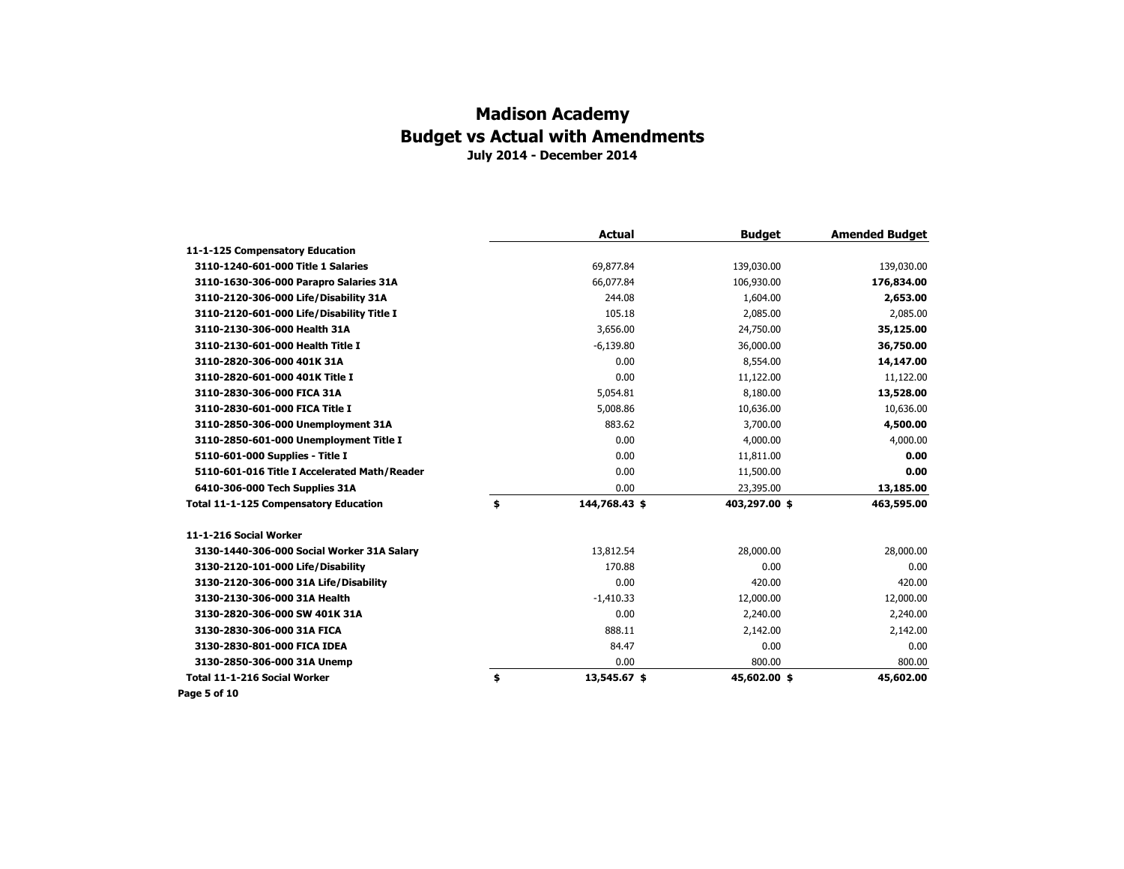|                                              | <b>Actual</b>       | <b>Budget</b> | <b>Amended Budget</b> |
|----------------------------------------------|---------------------|---------------|-----------------------|
| 11-1-125 Compensatory Education              |                     |               |                       |
| 3110-1240-601-000 Title 1 Salaries           | 69,877.84           | 139,030.00    | 139,030.00            |
| 3110-1630-306-000 Parapro Salaries 31A       | 66,077.84           | 106,930.00    | 176,834.00            |
| 3110-2120-306-000 Life/Disability 31A        | 244.08              | 1,604.00      | 2,653.00              |
| 3110-2120-601-000 Life/Disability Title I    | 105.18              | 2,085.00      | 2,085.00              |
| 3110-2130-306-000 Health 31A                 | 3,656.00            | 24,750.00     | 35,125.00             |
| 3110-2130-601-000 Health Title I             | $-6,139.80$         | 36,000.00     | 36,750.00             |
| 3110-2820-306-000 401K 31A                   | 0.00                | 8,554.00      | 14,147.00             |
| 3110-2820-601-000 401K Title I               | 0.00                | 11,122.00     | 11,122.00             |
| 3110-2830-306-000 FICA 31A                   | 5,054.81            | 8,180.00      | 13,528.00             |
| 3110-2830-601-000 FICA Title I               | 5,008.86            | 10,636.00     | 10,636.00             |
| 3110-2850-306-000 Unemployment 31A           | 883.62              | 3,700.00      | 4,500.00              |
| 3110-2850-601-000 Unemployment Title I       | 0.00                | 4,000.00      | 4,000.00              |
| 5110-601-000 Supplies - Title I              | 0.00                | 11,811.00     | 0.00                  |
| 5110-601-016 Title I Accelerated Math/Reader | 0.00                | 11,500.00     | 0.00                  |
| 6410-306-000 Tech Supplies 31A               | 0.00                | 23,395.00     | 13,185.00             |
| Total 11-1-125 Compensatory Education        | \$<br>144,768.43 \$ | 403,297.00 \$ | 463,595.00            |
| 11-1-216 Social Worker                       |                     |               |                       |
| 3130-1440-306-000 Social Worker 31A Salary   | 13,812.54           | 28,000.00     | 28,000.00             |
| 3130-2120-101-000 Life/Disability            | 170.88              | 0.00          | 0.00                  |
| 3130-2120-306-000 31A Life/Disability        | 0.00                | 420.00        | 420.00                |
| 3130-2130-306-000 31A Health                 | $-1,410.33$         | 12,000.00     | 12,000.00             |
| 3130-2820-306-000 SW 401K 31A                | 0.00                | 2,240.00      | 2,240.00              |
| 3130-2830-306-000 31A FICA                   | 888.11              | 2,142.00      | 2,142.00              |
| 3130-2830-801-000 FICA IDEA                  | 84.47               | 0.00          | 0.00                  |
| 3130-2850-306-000 31A Unemp                  | 0.00                | 800.00        | 800.00                |
| Total 11-1-216 Social Worker                 | \$<br>13,545.67 \$  | 45,602.00 \$  | 45,602.00             |
| Page 5 of 10                                 |                     |               |                       |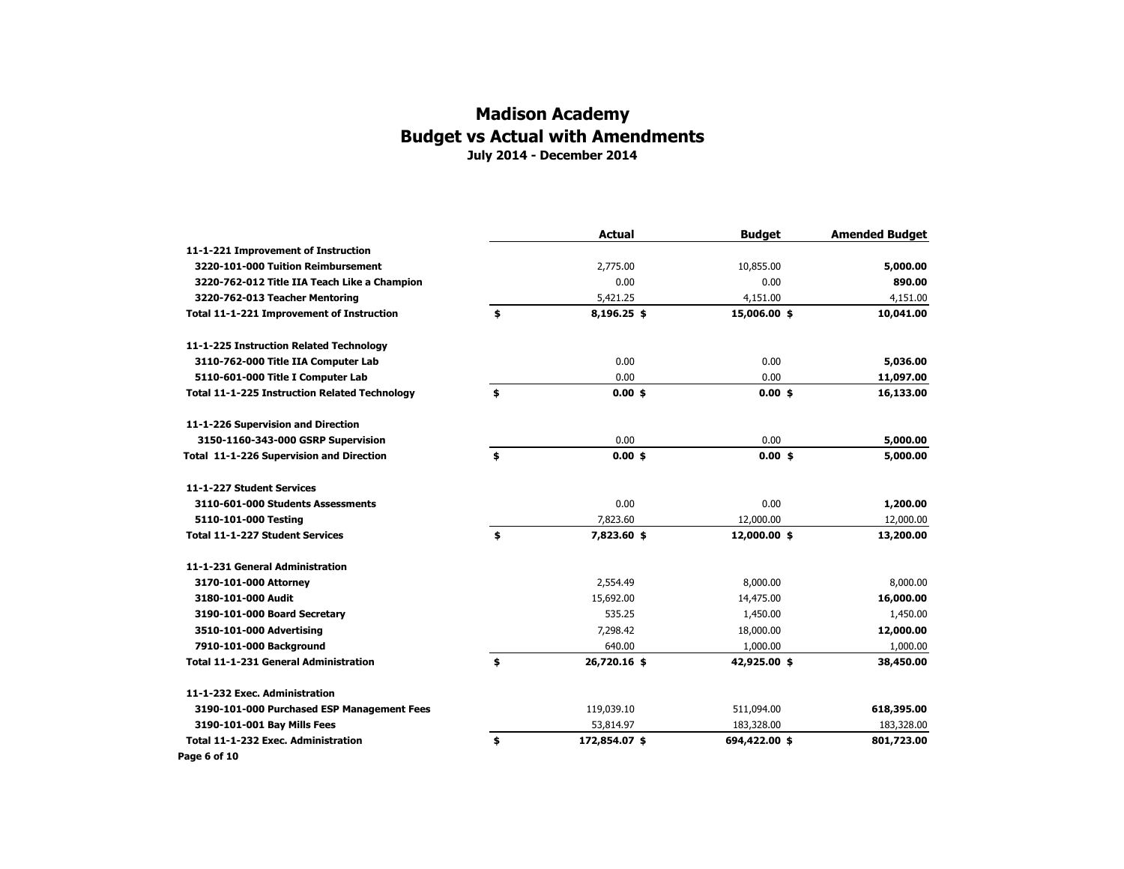|                                                      | <b>Actual</b>       | <b>Budget</b> | <b>Amended Budget</b> |
|------------------------------------------------------|---------------------|---------------|-----------------------|
| 11-1-221 Improvement of Instruction                  |                     |               |                       |
| 3220-101-000 Tuition Reimbursement                   | 2,775.00            | 10,855.00     | 5,000.00              |
| 3220-762-012 Title IIA Teach Like a Champion         | 0.00                | 0.00          | 890.00                |
| 3220-762-013 Teacher Mentoring                       | 5,421.25            | 4,151.00      | 4,151.00              |
| Total 11-1-221 Improvement of Instruction            | \$<br>8,196.25 \$   | 15,006.00 \$  | 10,041.00             |
| 11-1-225 Instruction Related Technology              |                     |               |                       |
| 3110-762-000 Title IIA Computer Lab                  | 0.00                | 0.00          | 5,036.00              |
| 5110-601-000 Title I Computer Lab                    | 0.00                | 0.00          | 11,097.00             |
| <b>Total 11-1-225 Instruction Related Technology</b> | \$<br>$0.00$ \$     | $0.00$ \$     | 16,133.00             |
| 11-1-226 Supervision and Direction                   |                     |               |                       |
| 3150-1160-343-000 GSRP Supervision                   | 0.00                | 0.00          | 5,000.00              |
| Total 11-1-226 Supervision and Direction             | \$<br>$0.00$ \$     | $0.00$ \$     | 5,000.00              |
| 11-1-227 Student Services                            |                     |               |                       |
| 3110-601-000 Students Assessments                    | 0.00                | 0.00          | 1,200.00              |
| 5110-101-000 Testing                                 | 7,823.60            | 12,000.00     | 12,000.00             |
| Total 11-1-227 Student Services                      | \$<br>7,823.60 \$   | 12,000.00 \$  | 13,200.00             |
| 11-1-231 General Administration                      |                     |               |                       |
| 3170-101-000 Attorney                                | 2,554.49            | 8,000.00      | 8,000.00              |
| 3180-101-000 Audit                                   | 15,692.00           | 14,475.00     | 16,000.00             |
| 3190-101-000 Board Secretary                         | 535.25              | 1,450.00      | 1,450.00              |
| 3510-101-000 Advertising                             | 7,298.42            | 18,000.00     | 12,000.00             |
| 7910-101-000 Background                              | 640.00              | 1,000.00      | 1,000.00              |
| <b>Total 11-1-231 General Administration</b>         | \$<br>26,720.16 \$  | 42,925.00 \$  | 38,450.00             |
| 11-1-232 Exec. Administration                        |                     |               |                       |
| 3190-101-000 Purchased ESP Management Fees           | 119,039.10          | 511,094.00    | 618,395.00            |
| 3190-101-001 Bay Mills Fees                          | 53,814.97           | 183,328.00    | 183,328.00            |
| Total 11-1-232 Exec. Administration                  | \$<br>172,854.07 \$ | 694,422.00 \$ | 801,723.00            |
| Page 6 of 10                                         |                     |               |                       |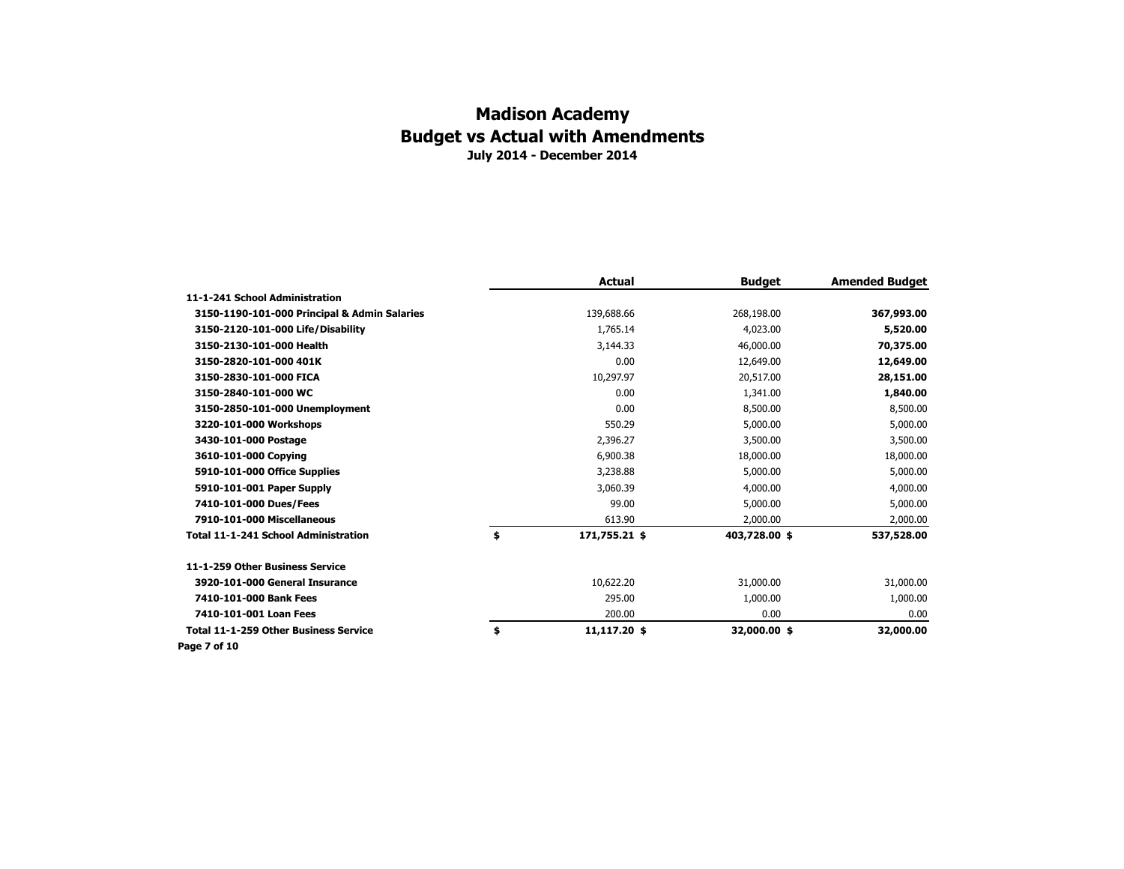|                                              | <b>Actual</b>       | <b>Budget</b> | <b>Amended Budget</b> |
|----------------------------------------------|---------------------|---------------|-----------------------|
| 11-1-241 School Administration               |                     |               |                       |
| 3150-1190-101-000 Principal & Admin Salaries | 139,688.66          | 268,198.00    | 367,993.00            |
| 3150-2120-101-000 Life/Disability            | 1,765.14            | 4,023.00      | 5,520.00              |
| 3150-2130-101-000 Health                     | 3,144.33            | 46,000.00     | 70,375.00             |
| 3150-2820-101-000 401K                       | 0.00                | 12,649.00     | 12,649.00             |
| 3150-2830-101-000 FICA                       | 10,297.97           | 20,517.00     | 28,151.00             |
| 3150-2840-101-000 WC                         | 0.00                | 1,341.00      | 1,840.00              |
| 3150-2850-101-000 Unemployment               | 0.00                | 8,500.00      | 8,500.00              |
| 3220-101-000 Workshops                       | 550.29              | 5,000.00      | 5,000.00              |
| 3430-101-000 Postage                         | 2,396.27            | 3,500.00      | 3,500.00              |
| 3610-101-000 Copying                         | 6,900.38            | 18,000.00     | 18,000.00             |
| 5910-101-000 Office Supplies                 | 3,238.88            | 5,000.00      | 5,000.00              |
| 5910-101-001 Paper Supply                    | 3,060.39            | 4,000.00      | 4,000.00              |
| 7410-101-000 Dues/Fees                       | 99.00               | 5,000.00      | 5,000.00              |
| 7910-101-000 Miscellaneous                   | 613.90              | 2,000.00      | 2,000.00              |
| Total 11-1-241 School Administration         | \$<br>171,755.21 \$ | 403,728.00 \$ | 537,528.00            |
| 11-1-259 Other Business Service              |                     |               |                       |
| 3920-101-000 General Insurance               | 10,622.20           | 31,000.00     | 31,000.00             |
| 7410-101-000 Bank Fees                       | 295.00              | 1,000.00      | 1,000.00              |
| 7410-101-001 Loan Fees                       | 200.00              | 0.00          | 0.00                  |
| <b>Total 11-1-259 Other Business Service</b> | \$<br>11,117.20 \$  | 32,000.00 \$  | 32,000.00             |
| Page 7 of 10                                 |                     |               |                       |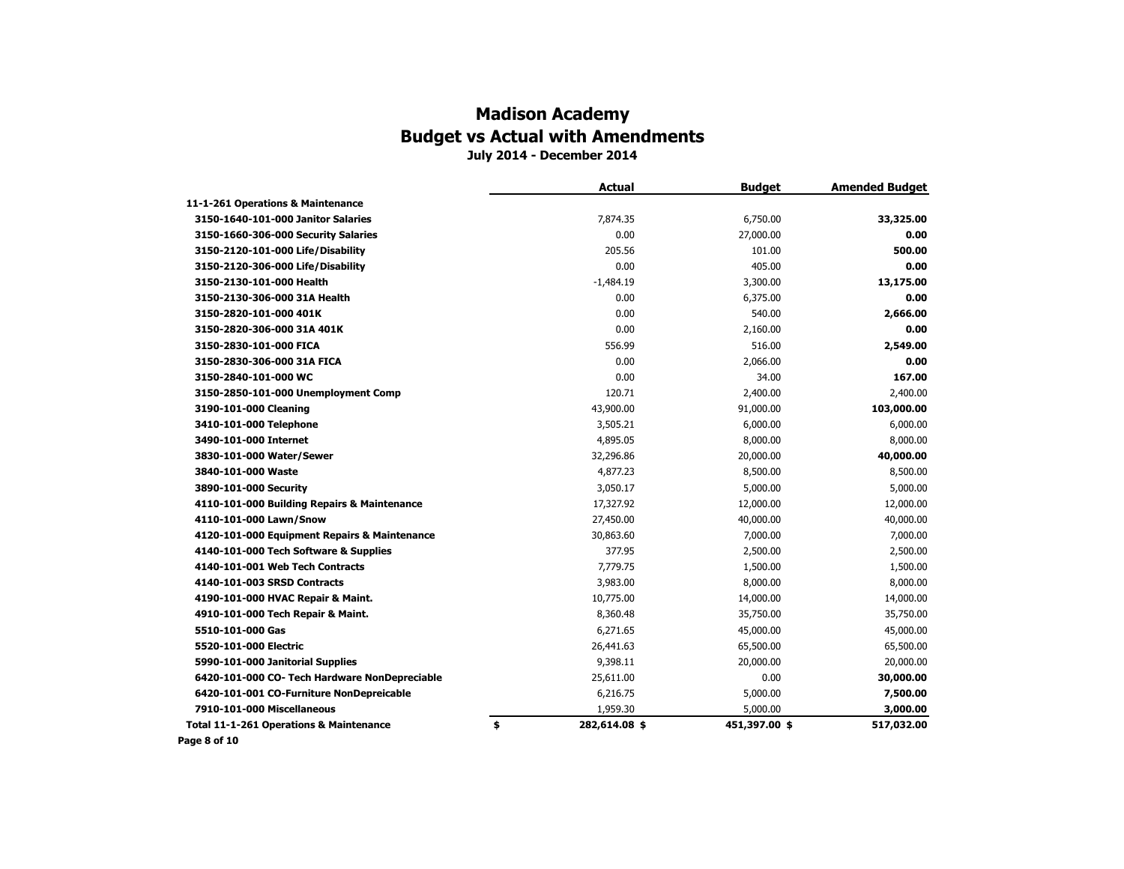# **Madison Academy Budget vs Actual with Amendments**

**July 2014 - December 2014**

|                                                    | <b>Actual</b>       | <b>Budget</b> | <b>Amended Budget</b> |
|----------------------------------------------------|---------------------|---------------|-----------------------|
| 11-1-261 Operations & Maintenance                  |                     |               |                       |
| 3150-1640-101-000 Janitor Salaries                 | 7,874.35            | 6,750.00      | 33,325.00             |
| 3150-1660-306-000 Security Salaries                | 0.00                | 27,000.00     | 0.00                  |
| 3150-2120-101-000 Life/Disability                  | 205.56              | 101.00        | 500.00                |
| 3150-2120-306-000 Life/Disability                  | 0.00                | 405.00        | 0.00                  |
| 3150-2130-101-000 Health                           | $-1,484.19$         | 3,300.00      | 13,175.00             |
| 3150-2130-306-000 31A Health                       | 0.00                | 6,375.00      | 0.00                  |
| 3150-2820-101-000 401K                             | 0.00                | 540.00        | 2,666.00              |
| 3150-2820-306-000 31A 401K                         | 0.00                | 2,160.00      | 0.00                  |
| 3150-2830-101-000 FICA                             | 556.99              | 516.00        | 2,549.00              |
| 3150-2830-306-000 31A FICA                         | 0.00                | 2,066.00      | 0.00                  |
| 3150-2840-101-000 WC                               | 0.00                | 34.00         | 167.00                |
| 3150-2850-101-000 Unemployment Comp                | 120.71              | 2,400.00      | 2,400.00              |
| 3190-101-000 Cleaning                              | 43,900.00           | 91,000.00     | 103,000.00            |
| 3410-101-000 Telephone                             | 3,505.21            | 6,000.00      | 6,000.00              |
| 3490-101-000 Internet                              | 4,895.05            | 8,000.00      | 8,000.00              |
| 3830-101-000 Water/Sewer                           | 32,296.86           | 20,000.00     | 40,000.00             |
| 3840-101-000 Waste                                 | 4,877.23            | 8,500.00      | 8,500.00              |
| 3890-101-000 Security                              | 3,050.17            | 5,000.00      | 5,000.00              |
| 4110-101-000 Building Repairs & Maintenance        | 17,327.92           | 12,000.00     | 12,000.00             |
| 4110-101-000 Lawn/Snow                             | 27,450.00           | 40,000.00     | 40,000.00             |
| 4120-101-000 Equipment Repairs & Maintenance       | 30,863.60           | 7,000.00      | 7,000.00              |
| 4140-101-000 Tech Software & Supplies              | 377.95              | 2,500.00      | 2,500.00              |
| 4140-101-001 Web Tech Contracts                    | 7,779.75            | 1,500.00      | 1,500.00              |
| 4140-101-003 SRSD Contracts                        | 3,983.00            | 8,000.00      | 8,000.00              |
| 4190-101-000 HVAC Repair & Maint.                  | 10,775.00           | 14,000.00     | 14,000.00             |
| 4910-101-000 Tech Repair & Maint.                  | 8,360.48            | 35,750.00     | 35,750.00             |
| 5510-101-000 Gas                                   | 6,271.65            | 45,000.00     | 45,000.00             |
| 5520-101-000 Electric                              | 26,441.63           | 65,500.00     | 65,500.00             |
| 5990-101-000 Janitorial Supplies                   | 9,398.11            | 20,000.00     | 20,000.00             |
| 6420-101-000 CO- Tech Hardware NonDepreciable      | 25,611.00           | 0.00          | 30,000.00             |
| 6420-101-001 CO-Furniture NonDepreicable           | 6,216.75            | 5,000.00      | 7,500.00              |
| 7910-101-000 Miscellaneous                         | 1,959.30            | 5,000.00      | 3,000.00              |
| <b>Total 11-1-261 Operations &amp; Maintenance</b> | \$<br>282,614.08 \$ | 451,397.00 \$ | 517,032.00            |
| Page 8 of 10                                       |                     |               |                       |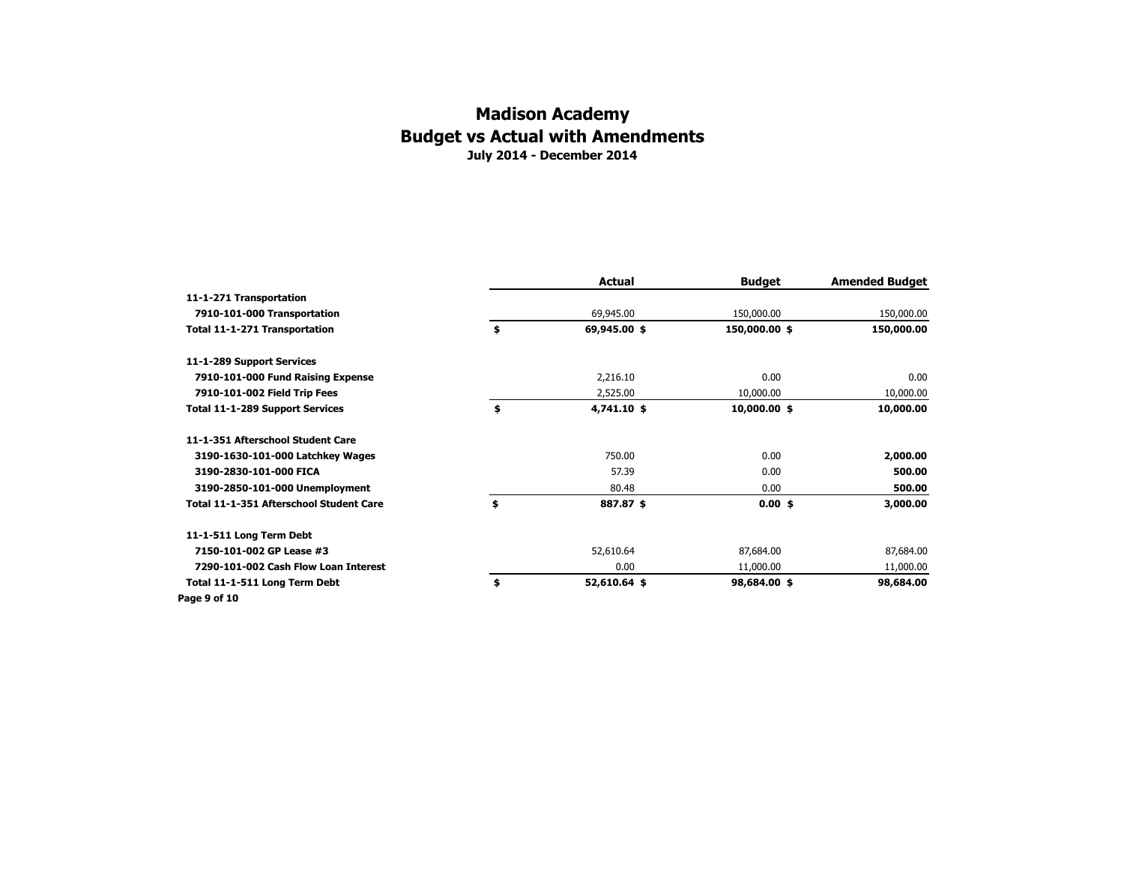|                                         | Actual             | <b>Budget</b> | <b>Amended Budget</b> |
|-----------------------------------------|--------------------|---------------|-----------------------|
| 11-1-271 Transportation                 |                    |               |                       |
| 7910-101-000 Transportation             | 69,945.00          | 150,000.00    | 150,000.00            |
| Total 11-1-271 Transportation           | \$<br>69,945.00 \$ | 150,000.00 \$ | 150,000.00            |
| 11-1-289 Support Services               |                    |               |                       |
| 7910-101-000 Fund Raising Expense       | 2,216.10           | 0.00          | 0.00                  |
| 7910-101-002 Field Trip Fees            | 2,525.00           | 10,000.00     | 10,000.00             |
| Total 11-1-289 Support Services         | \$<br>4,741.10 \$  | 10,000.00 \$  | 10,000.00             |
| 11-1-351 Afterschool Student Care       |                    |               |                       |
| 3190-1630-101-000 Latchkey Wages        | 750.00             | 0.00          | 2,000.00              |
| 3190-2830-101-000 FICA                  | 57.39              | 0.00          | 500.00                |
| 3190-2850-101-000 Unemployment          | 80.48              | 0.00          | 500.00                |
| Total 11-1-351 Afterschool Student Care | \$<br>887.87 \$    | $0.00$ \$     | 3,000.00              |
| 11-1-511 Long Term Debt                 |                    |               |                       |
| 7150-101-002 GP Lease #3                | 52,610.64          | 87,684.00     | 87,684.00             |
| 7290-101-002 Cash Flow Loan Interest    | 0.00               | 11,000.00     | 11,000.00             |
| Total 11-1-511 Long Term Debt           | \$<br>52,610.64 \$ | 98,684.00 \$  | 98,684.00             |
| Page 9 of 10                            |                    |               |                       |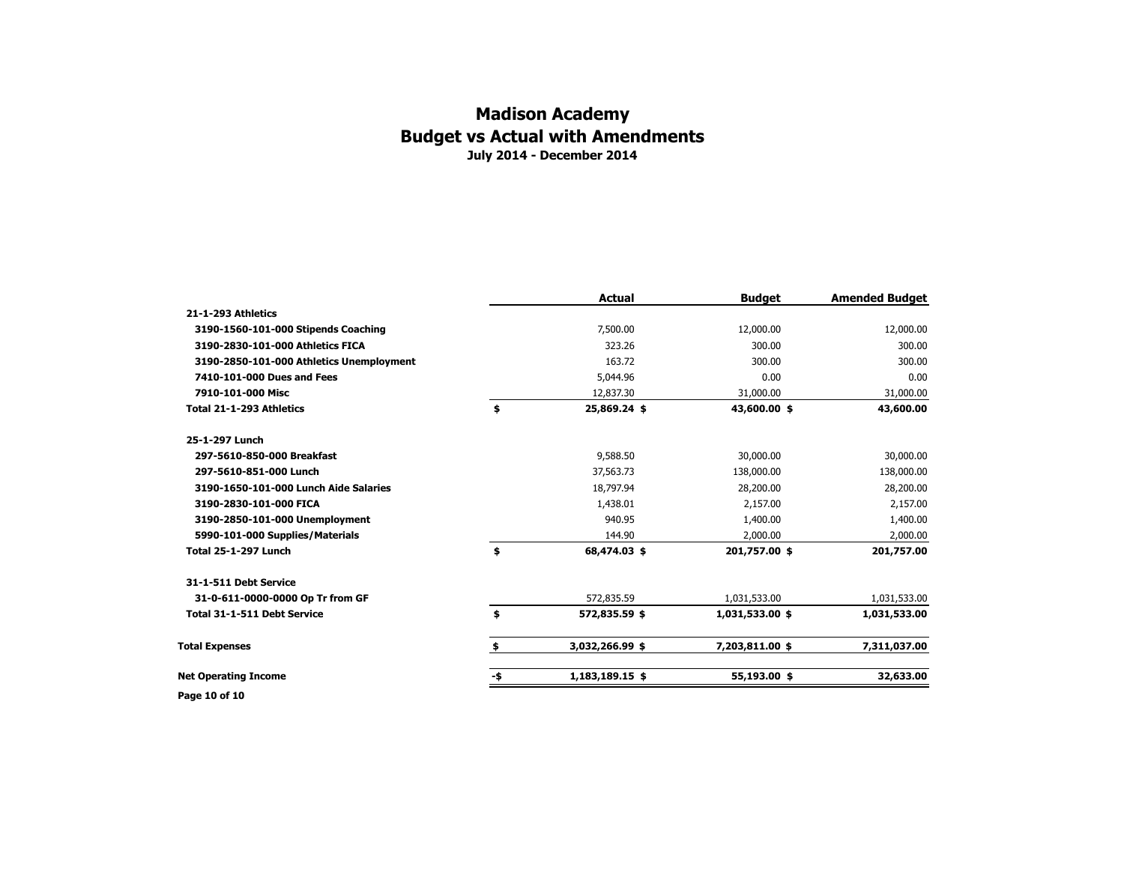### **July 2014 - December 2014 Madison Academy Budget vs Actual with Amendments**

|                                          |     | <b>Actual</b>   | <b>Budget</b>   | <b>Amended Budget</b> |
|------------------------------------------|-----|-----------------|-----------------|-----------------------|
| 21-1-293 Athletics                       |     |                 |                 |                       |
| 3190-1560-101-000 Stipends Coaching      |     | 7,500.00        | 12,000.00       | 12,000.00             |
| 3190-2830-101-000 Athletics FICA         |     | 323.26          | 300.00          | 300.00                |
| 3190-2850-101-000 Athletics Unemployment |     | 163.72          | 300.00          | 300.00                |
| 7410-101-000 Dues and Fees               |     | 5,044.96        | 0.00            | 0.00                  |
| 7910-101-000 Misc                        |     | 12,837.30       | 31,000.00       | 31,000.00             |
| Total 21-1-293 Athletics                 | \$  | 25,869.24 \$    | 43,600.00 \$    | 43,600.00             |
| 25-1-297 Lunch                           |     |                 |                 |                       |
| 297-5610-850-000 Breakfast               |     | 9,588.50        | 30,000.00       | 30,000.00             |
| 297-5610-851-000 Lunch                   |     | 37,563.73       | 138,000.00      | 138,000.00            |
| 3190-1650-101-000 Lunch Aide Salaries    |     | 18,797.94       | 28,200.00       | 28,200.00             |
| 3190-2830-101-000 FICA                   |     | 1,438.01        | 2,157.00        | 2,157.00              |
| 3190-2850-101-000 Unemployment           |     | 940.95          | 1,400.00        | 1,400.00              |
| 5990-101-000 Supplies/Materials          |     | 144.90          | 2,000.00        | 2,000.00              |
| <b>Total 25-1-297 Lunch</b>              | \$  | 68,474.03 \$    | 201,757.00 \$   | 201,757.00            |
| 31-1-511 Debt Service                    |     |                 |                 |                       |
| 31-0-611-0000-0000 Op Tr from GF         |     | 572,835.59      | 1,031,533.00    | 1,031,533.00          |
| Total 31-1-511 Debt Service              | \$  | 572,835.59 \$   | 1,031,533.00 \$ | 1,031,533.00          |
| <b>Total Expenses</b>                    | \$  | 3,032,266.99 \$ | 7,203,811.00 \$ | 7,311,037.00          |
| <b>Net Operating Income</b>              | -\$ | 1,183,189.15 \$ | 55,193.00 \$    | 32,633.00             |
| Page 10 of 10                            |     |                 |                 |                       |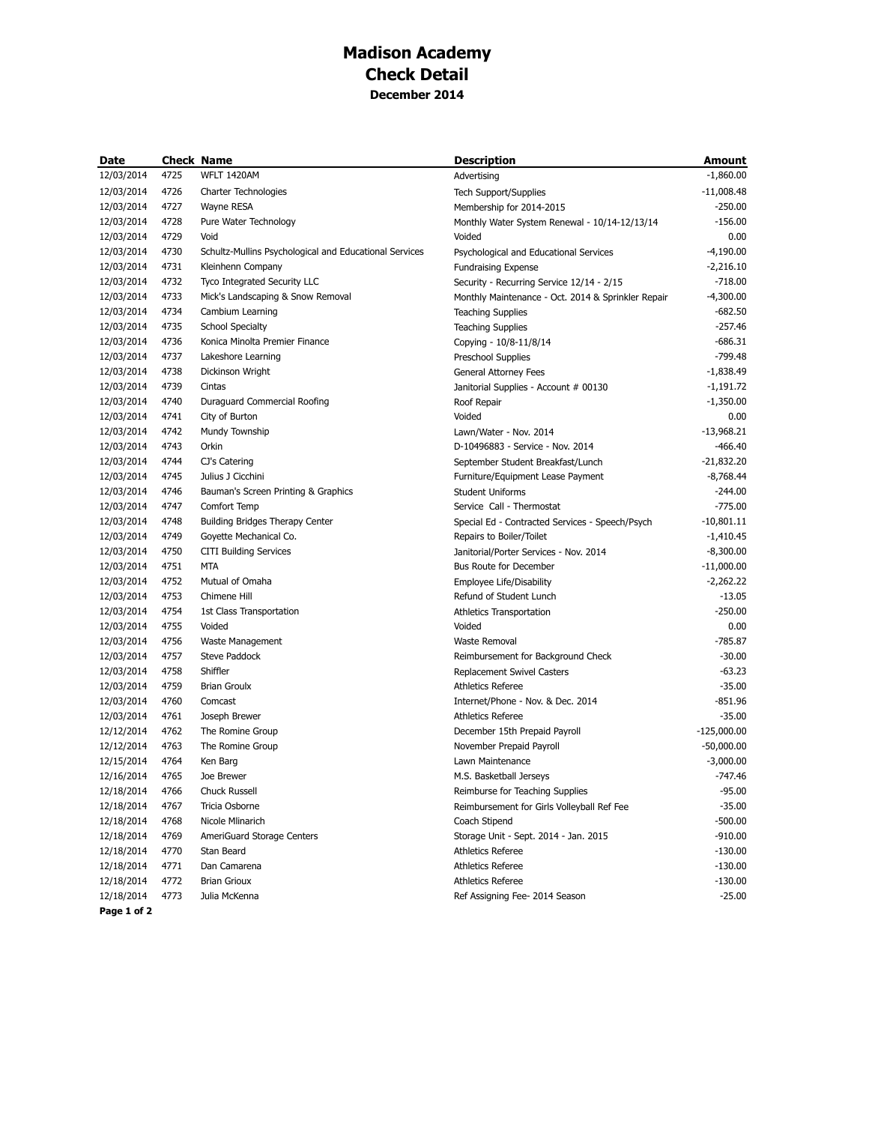## **Madison Academy Check Detail December 2014**

| Date       |      | <b>Check Name</b>                                      | <b>Description</b>                                 | Amount        |
|------------|------|--------------------------------------------------------|----------------------------------------------------|---------------|
| 12/03/2014 | 4725 | WFLT 1420AM                                            | Advertising                                        | $-1,860.00$   |
| 12/03/2014 | 4726 | Charter Technologies                                   | <b>Tech Support/Supplies</b>                       | $-11,008.48$  |
| 12/03/2014 | 4727 | Wayne RESA                                             | Membership for 2014-2015                           | $-250.00$     |
| 12/03/2014 | 4728 | Pure Water Technology                                  | Monthly Water System Renewal - 10/14-12/13/14      | $-156.00$     |
| 12/03/2014 | 4729 | Void                                                   | Voided                                             | 0.00          |
| 12/03/2014 | 4730 | Schultz-Mullins Psychological and Educational Services | Psychological and Educational Services             | $-4,190.00$   |
| 12/03/2014 | 4731 | Kleinhenn Company                                      | <b>Fundraising Expense</b>                         | $-2,216.10$   |
| 12/03/2014 | 4732 | Tyco Integrated Security LLC                           | Security - Recurring Service 12/14 - 2/15          | $-718.00$     |
| 12/03/2014 | 4733 | Mick's Landscaping & Snow Removal                      | Monthly Maintenance - Oct. 2014 & Sprinkler Repair | $-4,300.00$   |
| 12/03/2014 | 4734 | Cambium Learning                                       | <b>Teaching Supplies</b>                           | $-682.50$     |
| 12/03/2014 | 4735 | <b>School Specialty</b>                                | <b>Teaching Supplies</b>                           | $-257.46$     |
| 12/03/2014 | 4736 | Konica Minolta Premier Finance                         | Copying - 10/8-11/8/14                             | $-686.31$     |
| 12/03/2014 | 4737 | Lakeshore Learning                                     | Preschool Supplies                                 | $-799.48$     |
| 12/03/2014 | 4738 | Dickinson Wright                                       | General Attorney Fees                              | $-1,838.49$   |
| 12/03/2014 | 4739 | Cintas                                                 | Janitorial Supplies - Account # 00130              | $-1,191.72$   |
| 12/03/2014 | 4740 | Duraguard Commercial Roofing                           | Roof Repair                                        | $-1,350.00$   |
| 12/03/2014 | 4741 | City of Burton                                         | Voided                                             | 0.00          |
| 12/03/2014 | 4742 | Mundy Township                                         | Lawn/Water - Nov. 2014                             | $-13,968.21$  |
| 12/03/2014 | 4743 | Orkin                                                  | D-10496883 - Service - Nov. 2014                   | $-466.40$     |
| 12/03/2014 | 4744 | CJ's Catering                                          | September Student Breakfast/Lunch                  | $-21,832.20$  |
| 12/03/2014 | 4745 | Julius J Cicchini                                      | Furniture/Equipment Lease Payment                  | $-8,768.44$   |
| 12/03/2014 | 4746 | Bauman's Screen Printing & Graphics                    | <b>Student Uniforms</b>                            | $-244.00$     |
| 12/03/2014 | 4747 | Comfort Temp                                           | Service Call - Thermostat                          | $-775.00$     |
| 12/03/2014 | 4748 | Building Bridges Therapy Center                        | Special Ed - Contracted Services - Speech/Psych    | $-10,801.11$  |
| 12/03/2014 | 4749 | Goyette Mechanical Co.                                 | Repairs to Boiler/Toilet                           | $-1,410.45$   |
| 12/03/2014 | 4750 | <b>CITI Building Services</b>                          | Janitorial/Porter Services - Nov. 2014             | $-8,300.00$   |
| 12/03/2014 | 4751 | <b>MTA</b>                                             | <b>Bus Route for December</b>                      | $-11,000.00$  |
| 12/03/2014 | 4752 | Mutual of Omaha                                        | Employee Life/Disability                           | $-2,262.22$   |
| 12/03/2014 | 4753 | Chimene Hill                                           | Refund of Student Lunch                            | $-13.05$      |
| 12/03/2014 | 4754 | 1st Class Transportation                               | Athletics Transportation                           | $-250.00$     |
| 12/03/2014 | 4755 | Voided                                                 | Voided                                             | 0.00          |
| 12/03/2014 | 4756 | Waste Management                                       | Waste Removal                                      | $-785.87$     |
| 12/03/2014 | 4757 | Steve Paddock                                          | Reimbursement for Background Check                 | $-30.00$      |
| 12/03/2014 | 4758 | Shiffler                                               | Replacement Swivel Casters                         | $-63.23$      |
| 12/03/2014 | 4759 | <b>Brian Groulx</b>                                    | Athletics Referee                                  | $-35.00$      |
| 12/03/2014 | 4760 | Comcast                                                | Internet/Phone - Nov. & Dec. 2014                  | $-851.96$     |
| 12/03/2014 | 4761 | Joseph Brewer                                          | Athletics Referee                                  | $-35.00$      |
| 12/12/2014 | 4762 | The Romine Group                                       | December 15th Prepaid Payroll                      | $-125,000.00$ |
| 12/12/2014 | 4763 | The Romine Group                                       | November Prepaid Payroll                           | $-50,000.00$  |
| 12/15/2014 | 4764 | Ken Barg                                               | Lawn Maintenance                                   | $-3,000.00$   |
| 12/16/2014 | 4765 | Joe Brewer                                             | M.S. Basketball Jerseys                            | $-747.46$     |
| 12/18/2014 | 4766 | Chuck Russell                                          | Reimburse for Teaching Supplies                    | $-95.00$      |
| 12/18/2014 | 4767 | Tricia Osborne                                         | Reimbursement for Girls Volleyball Ref Fee         | $-35.00$      |
| 12/18/2014 | 4768 | Nicole Mlinarich                                       | Coach Stipend                                      | $-500.00$     |
| 12/18/2014 | 4769 | AmeriGuard Storage Centers                             | Storage Unit - Sept. 2014 - Jan. 2015              | $-910.00$     |
| 12/18/2014 | 4770 | Stan Beard                                             | Athletics Referee                                  | $-130.00$     |
| 12/18/2014 | 4771 | Dan Camarena                                           | <b>Athletics Referee</b>                           | $-130.00$     |
| 12/18/2014 | 4772 | <b>Brian Grioux</b>                                    | <b>Athletics Referee</b>                           | $-130.00$     |
| 12/18/2014 | 4773 | Julia McKenna                                          | Ref Assigning Fee- 2014 Season                     | $-25.00$      |

**Page 1 of 2**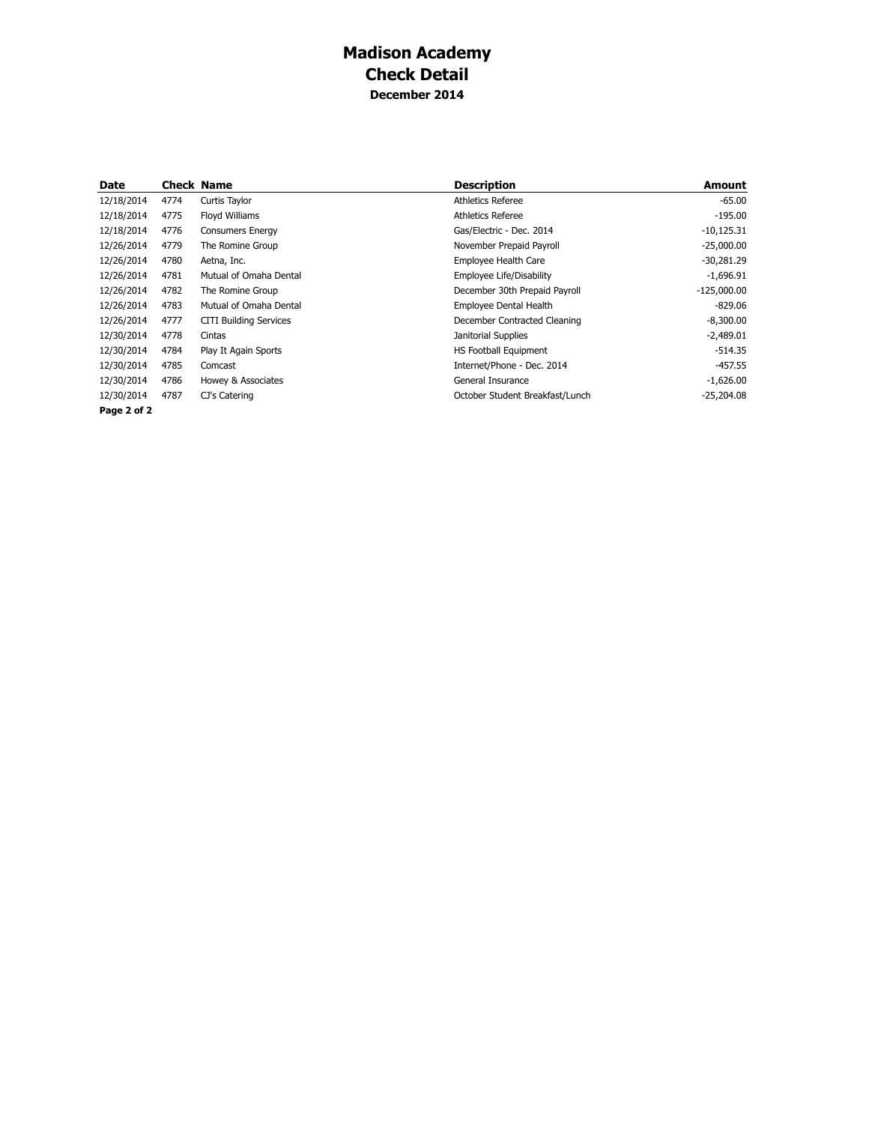## **Madison Academy Check Detail December 2014**

| Date        |      | <b>Check Name</b>             | <b>Description</b>              | <b>Amount</b> |
|-------------|------|-------------------------------|---------------------------------|---------------|
| 12/18/2014  | 4774 | Curtis Taylor                 | Athletics Referee               | $-65.00$      |
| 12/18/2014  | 4775 | Floyd Williams                | Athletics Referee               | $-195.00$     |
| 12/18/2014  | 4776 | <b>Consumers Energy</b>       | Gas/Electric - Dec. 2014        | $-10,125.31$  |
| 12/26/2014  | 4779 | The Romine Group              | November Prepaid Payroll        | $-25,000.00$  |
| 12/26/2014  | 4780 | Aetna, Inc.                   | Employee Health Care            | $-30,281.29$  |
| 12/26/2014  | 4781 | Mutual of Omaha Dental        | Employee Life/Disability        | $-1,696.91$   |
| 12/26/2014  | 4782 | The Romine Group              | December 30th Prepaid Payroll   | $-125,000.00$ |
| 12/26/2014  | 4783 | Mutual of Omaha Dental        | Employee Dental Health          | $-829.06$     |
| 12/26/2014  | 4777 | <b>CITI Building Services</b> | December Contracted Cleaning    | $-8,300.00$   |
| 12/30/2014  | 4778 | Cintas                        | Janitorial Supplies             | $-2,489.01$   |
| 12/30/2014  | 4784 | Play It Again Sports          | <b>HS Football Equipment</b>    | $-514.35$     |
| 12/30/2014  | 4785 | Comcast                       | Internet/Phone - Dec. 2014      | $-457.55$     |
| 12/30/2014  | 4786 | Howey & Associates            | General Insurance               | $-1,626.00$   |
| 12/30/2014  | 4787 | CJ's Catering                 | October Student Breakfast/Lunch | $-25,204.08$  |
| Page 2 of 2 |      |                               |                                 |               |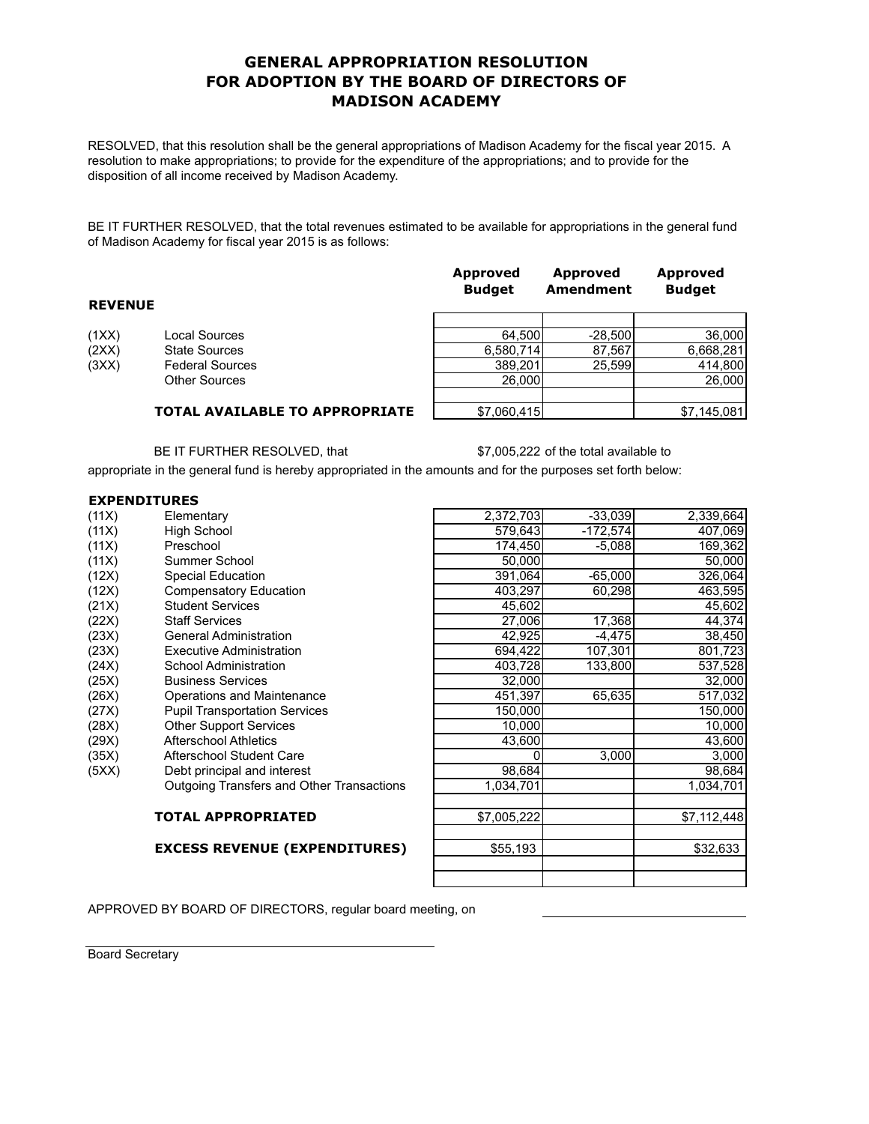#### **GENERAL APPROPRIATION RESOLUTION FOR ADOPTION BY THE BOARD OF DIRECTORS OF MADISON ACADEMY**

RESOLVED, that this resolution shall be the general appropriations of Madison Academy for the fiscal year 2015. A resolution to make appropriations; to provide for the expenditure of the appropriations; and to provide for the disposition of all income received by Madison Academy.

BE IT FURTHER RESOLVED, that the total revenues estimated to be available for appropriations in the general fund of Madison Academy for fiscal year 2015 is as follows:

| <b>REVENUE</b> |                                       | Approved<br><b>Budget</b> | Approved<br>Amendment | Approved<br><b>Budget</b> |
|----------------|---------------------------------------|---------------------------|-----------------------|---------------------------|
|                |                                       |                           |                       |                           |
| (1XX)          | Local Sources                         | 64.500                    | $-28,500$             | 36,000                    |
| (2XX)          | <b>State Sources</b>                  | 6,580,714                 | 87,567                | 6,668,281                 |
| (3XX)          | <b>Federal Sources</b>                | 389,201                   | 25,599                | 414,800                   |
|                | <b>Other Sources</b>                  | 26,000                    |                       | 26,000                    |
|                |                                       |                           |                       |                           |
|                | <b>TOTAL AVAILABLE TO APPROPRIATE</b> | \$7,060,415               |                       | \$7.145.081               |

BE IT FURTHER RESOLVED, that \$7,005,222 of the total available to

appropriate in the general fund is hereby appropriated in the amounts and for the purposes set forth below:

| <b>EXPENDITURES</b> |  |  |
|---------------------|--|--|
|                     |  |  |

|       | EAFENDIIUREJ                              |             |            |             |
|-------|-------------------------------------------|-------------|------------|-------------|
| (11X) | Elementary                                | 2,372,703   | $-33,039$  | 2,339,664   |
| (11X) | High School                               | 579,643     | $-172,574$ | 407,069     |
| (11X) | Preschool                                 | 174,450     | $-5.088$   | 169,362     |
| (11X) | Summer School                             | 50,000      |            | 50,000      |
| (12X) | Special Education                         | 391,064     | $-65,000$  | 326,064     |
| (12X) | Compensatory Education                    | 403,297     | 60,298     | 463,595     |
| (21X) | <b>Student Services</b>                   | 45,602      |            | 45,602      |
| (22X) | <b>Staff Services</b>                     | 27,006      | 17,368     | 44,374      |
| (23X) | <b>General Administration</b>             | 42,925      | $-4,475$   | 38,450      |
| (23X) | Executive Administration                  | 694,422     | 107,301    | 801,723     |
| (24X) | School Administration                     | 403,728     | 133,800    | 537,528     |
| (25X) | <b>Business Services</b>                  | 32,000      |            | 32,000      |
| (26X) | Operations and Maintenance                | 451,397     | 65,635     | 517,032     |
| (27X) | <b>Pupil Transportation Services</b>      | 150,000     |            | 150,000     |
| (28X) | <b>Other Support Services</b>             | 10,000      |            | 10,000      |
| (29X) | <b>Afterschool Athletics</b>              | 43,600      |            | 43,600      |
| (35X) | Afterschool Student Care                  | 0           | 3,000      | 3,000       |
| (5XX) | Debt principal and interest               | 98,684      |            | 98,684      |
|       | Outgoing Transfers and Other Transactions | 1,034,701   |            | 1,034,701   |
|       | <b>TOTAL APPROPRIATED</b>                 | \$7,005,222 |            | \$7,112,448 |
|       | <b>EXCESS REVENUE (EXPENDITURES)</b>      | \$55,193    |            | \$32,633    |
|       |                                           |             |            |             |

APPROVED BY BOARD OF DIRECTORS, regular board meeting, on

Board Secretary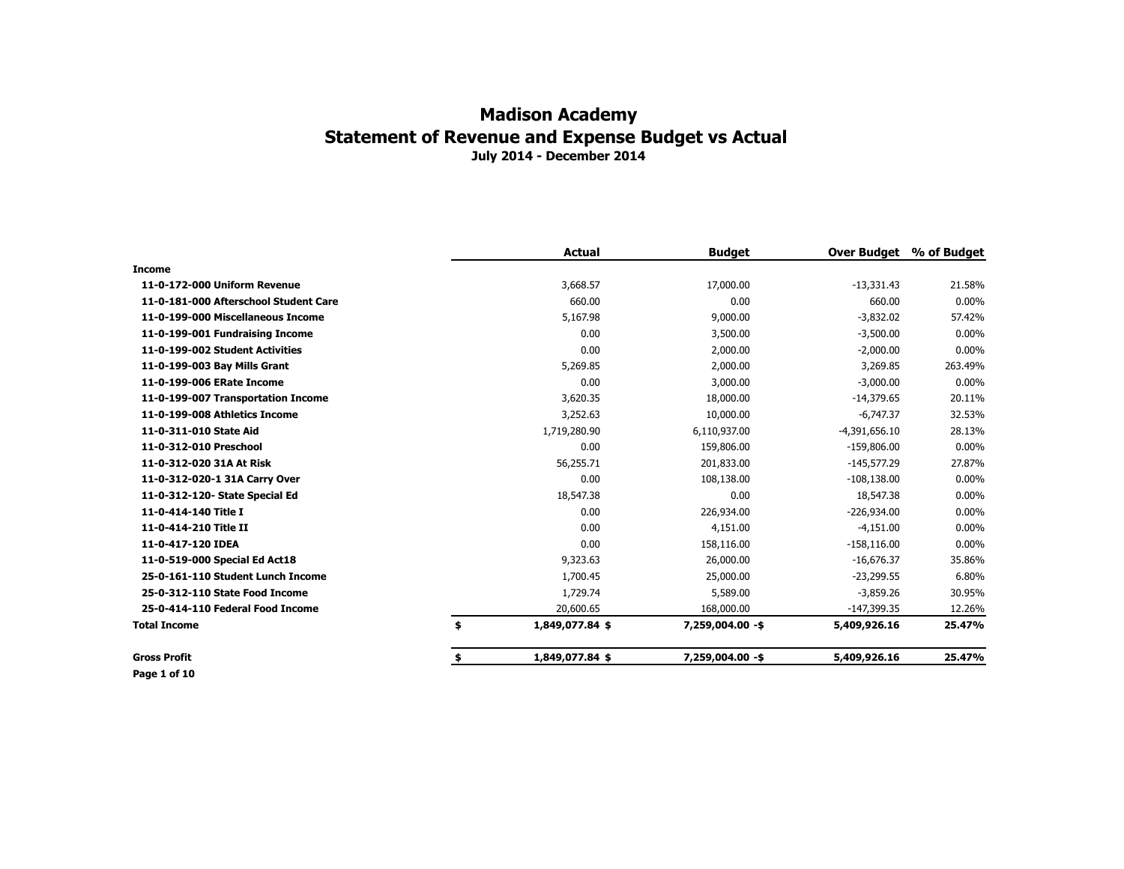|                                       | <b>Actual</b>         | <b>Budget</b>    | <b>Over Budget</b> | % of Budget |
|---------------------------------------|-----------------------|------------------|--------------------|-------------|
| <b>Income</b>                         |                       |                  |                    |             |
| 11-0-172-000 Uniform Revenue          | 3,668.57              | 17,000.00        | $-13,331.43$       | 21.58%      |
| 11-0-181-000 Afterschool Student Care | 660.00                | 0.00             | 660.00             | $0.00\%$    |
| 11-0-199-000 Miscellaneous Income     | 5,167.98              | 9,000.00         | $-3,832.02$        | 57.42%      |
| 11-0-199-001 Fundraising Income       | 0.00                  | 3,500.00         | $-3,500.00$        | $0.00\%$    |
| 11-0-199-002 Student Activities       | 0.00                  | 2,000.00         | $-2,000.00$        | $0.00\%$    |
| 11-0-199-003 Bay Mills Grant          | 5,269.85              | 2,000.00         | 3,269.85           | 263.49%     |
| 11-0-199-006 ERate Income             | 0.00                  | 3,000.00         | $-3,000.00$        | $0.00\%$    |
| 11-0-199-007 Transportation Income    | 3,620.35              | 18,000.00        | $-14,379.65$       | 20.11%      |
| 11-0-199-008 Athletics Income         | 3,252.63              | 10,000.00        | $-6,747.37$        | 32.53%      |
| 11-0-311-010 State Aid                | 1,719,280.90          | 6,110,937.00     | $-4,391,656.10$    | 28.13%      |
| 11-0-312-010 Preschool                | 0.00                  | 159,806.00       | $-159,806.00$      | $0.00\%$    |
| 11-0-312-020 31A At Risk              | 56,255.71             | 201,833.00       | $-145,577.29$      | 27.87%      |
| 11-0-312-020-1 31A Carry Over         | 0.00                  | 108,138.00       | $-108,138.00$      | $0.00\%$    |
| 11-0-312-120- State Special Ed        | 18,547.38             | 0.00             | 18,547.38          | $0.00\%$    |
| 11-0-414-140 Title I                  | 0.00                  | 226,934.00       | $-226,934.00$      | $0.00\%$    |
| 11-0-414-210 Title II                 | 0.00                  | 4,151.00         | $-4,151.00$        | $0.00\%$    |
| 11-0-417-120 IDEA                     | 0.00                  | 158,116.00       | $-158, 116.00$     | $0.00\%$    |
| 11-0-519-000 Special Ed Act18         | 9,323.63              | 26,000.00        | $-16,676.37$       | 35.86%      |
| 25-0-161-110 Student Lunch Income     | 1,700.45              | 25,000.00        | $-23,299.55$       | 6.80%       |
| 25-0-312-110 State Food Income        | 1,729.74              | 5,589.00         | $-3,859.26$        | 30.95%      |
| 25-0-414-110 Federal Food Income      | 20,600.65             | 168,000.00       | $-147,399.35$      | 12.26%      |
| <b>Total Income</b>                   | \$<br>1,849,077.84 \$ | 7,259,004.00 -\$ | 5,409,926.16       | 25.47%      |
| <b>Gross Profit</b>                   | \$<br>1,849,077.84 \$ | 7,259,004.00 -\$ | 5,409,926.16       | 25.47%      |
| Page 1 of 10                          |                       |                  |                    |             |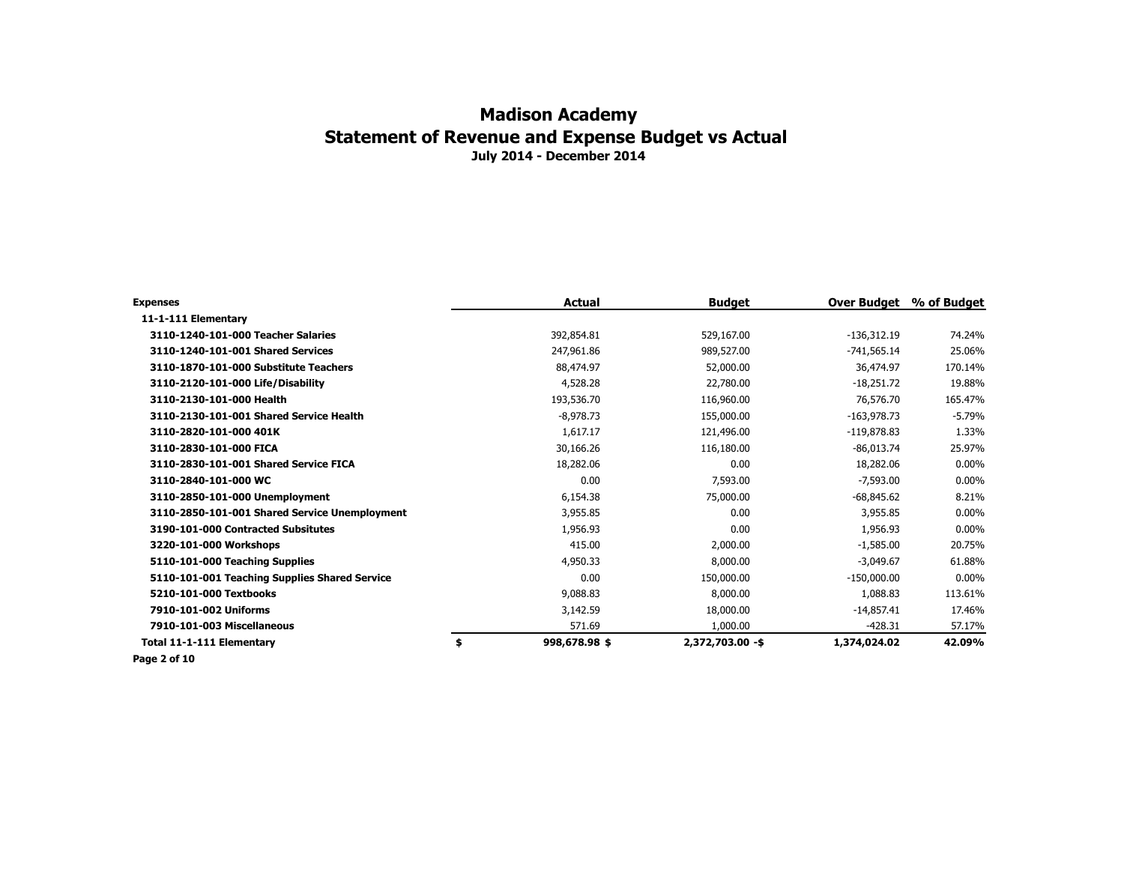| Expenses                                      | Actual              | <b>Budget</b>    | Over Budget   | % of Budget |
|-----------------------------------------------|---------------------|------------------|---------------|-------------|
| 11-1-111 Elementary                           |                     |                  |               |             |
| 3110-1240-101-000 Teacher Salaries            | 392,854.81          | 529,167.00       | $-136,312.19$ | 74.24%      |
| 3110-1240-101-001 Shared Services             | 247,961.86          | 989,527.00       | $-741,565.14$ | 25.06%      |
| 3110-1870-101-000 Substitute Teachers         | 88,474.97           | 52,000.00        | 36,474.97     | 170.14%     |
| 3110-2120-101-000 Life/Disability             | 4,528.28            | 22,780.00        | $-18,251.72$  | 19.88%      |
| 3110-2130-101-000 Health                      | 193,536.70          | 116,960.00       | 76,576.70     | 165.47%     |
| 3110-2130-101-001 Shared Service Health       | $-8,978.73$         | 155,000.00       | $-163,978.73$ | $-5.79%$    |
| 3110-2820-101-000 401K                        | 1,617.17            | 121,496.00       | $-119,878.83$ | 1.33%       |
| 3110-2830-101-000 FICA                        | 30,166.26           | 116,180.00       | $-86,013.74$  | 25.97%      |
| 3110-2830-101-001 Shared Service FICA         | 18,282.06           | 0.00             | 18,282.06     | $0.00\%$    |
| 3110-2840-101-000 WC                          | 0.00                | 7,593.00         | $-7,593.00$   | $0.00\%$    |
| 3110-2850-101-000 Unemployment                | 6,154.38            | 75,000.00        | $-68,845.62$  | 8.21%       |
| 3110-2850-101-001 Shared Service Unemployment | 3,955.85            | 0.00             | 3,955.85      | $0.00\%$    |
| 3190-101-000 Contracted Subsitutes            | 1,956.93            | 0.00             | 1,956.93      | $0.00\%$    |
| 3220-101-000 Workshops                        | 415.00              | 2,000.00         | $-1,585.00$   | 20.75%      |
| 5110-101-000 Teaching Supplies                | 4,950.33            | 8,000.00         | $-3,049.67$   | 61.88%      |
| 5110-101-001 Teaching Supplies Shared Service | 0.00                | 150,000.00       | $-150,000.00$ | $0.00\%$    |
| 5210-101-000 Textbooks                        | 9,088.83            | 8,000.00         | 1,088.83      | 113.61%     |
| 7910-101-002 Uniforms                         | 3,142.59            | 18,000.00        | $-14,857.41$  | 17.46%      |
| 7910-101-003 Miscellaneous                    | 571.69              | 1,000.00         | $-428.31$     | 57.17%      |
| Total 11-1-111 Elementary                     | \$<br>998,678.98 \$ | 2,372,703.00 -\$ | 1,374,024.02  | 42.09%      |

**Page 2 of 10**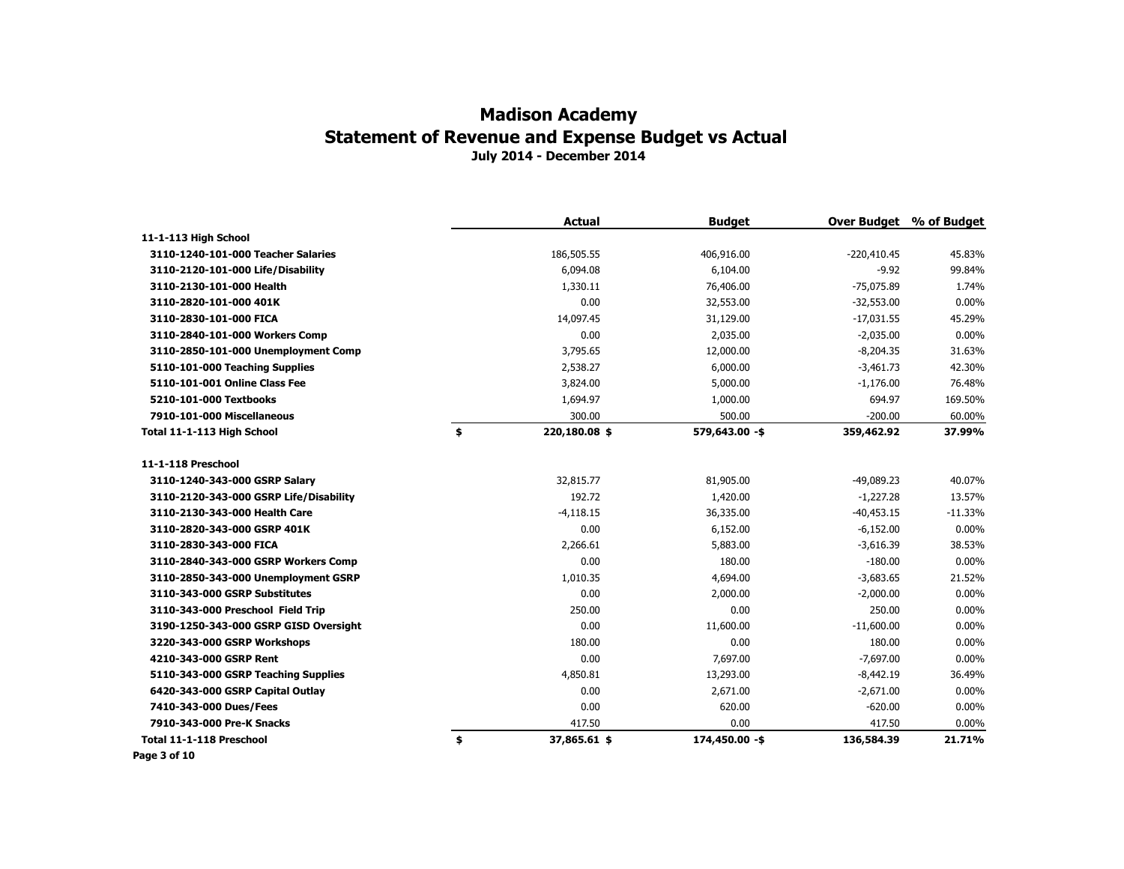|                                        | <b>Actual</b>       | <b>Budget</b>  | <b>Over Budget</b> | % of Budget |
|----------------------------------------|---------------------|----------------|--------------------|-------------|
| 11-1-113 High School                   |                     |                |                    |             |
| 3110-1240-101-000 Teacher Salaries     | 186,505.55          | 406,916.00     | $-220,410.45$      | 45.83%      |
| 3110-2120-101-000 Life/Disability      | 6,094.08            | 6,104.00       | $-9.92$            | 99.84%      |
| 3110-2130-101-000 Health               | 1,330.11            | 76,406.00      | $-75,075.89$       | 1.74%       |
| 3110-2820-101-000 401K                 | 0.00                | 32,553.00      | $-32,553.00$       | 0.00%       |
| 3110-2830-101-000 FICA                 | 14,097.45           | 31,129.00      | $-17,031.55$       | 45.29%      |
| 3110-2840-101-000 Workers Comp         | 0.00                | 2,035.00       | $-2,035.00$        | 0.00%       |
| 3110-2850-101-000 Unemployment Comp    | 3,795.65            | 12,000.00      | $-8,204.35$        | 31.63%      |
| 5110-101-000 Teaching Supplies         | 2,538.27            | 6,000.00       | $-3,461.73$        | 42.30%      |
| 5110-101-001 Online Class Fee          | 3,824.00            | 5,000.00       | $-1,176.00$        | 76.48%      |
| 5210-101-000 Textbooks                 | 1,694.97            | 1,000.00       | 694.97             | 169.50%     |
| 7910-101-000 Miscellaneous             | 300.00              | 500.00         | $-200.00$          | 60.00%      |
| Total 11-1-113 High School             | \$<br>220,180.08 \$ | 579,643.00 -\$ | 359,462.92         | 37.99%      |
| 11-1-118 Preschool                     |                     |                |                    |             |
| 3110-1240-343-000 GSRP Salary          | 32,815,77           | 81,905.00      | $-49,089.23$       | 40.07%      |
| 3110-2120-343-000 GSRP Life/Disability | 192.72              | 1,420.00       | $-1,227.28$        | 13.57%      |
| 3110-2130-343-000 Health Care          | $-4,118.15$         | 36,335.00      | $-40,453.15$       | $-11.33%$   |
| 3110-2820-343-000 GSRP 401K            | 0.00                | 6,152.00       | $-6,152.00$        | 0.00%       |
| 3110-2830-343-000 FICA                 | 2,266.61            | 5,883.00       | $-3,616.39$        | 38.53%      |
| 3110-2840-343-000 GSRP Workers Comp    | 0.00                | 180.00         | $-180.00$          | 0.00%       |
| 3110-2850-343-000 Unemployment GSRP    | 1,010.35            | 4,694.00       | $-3,683.65$        | 21.52%      |
| 3110-343-000 GSRP Substitutes          | 0.00                | 2,000.00       | $-2,000.00$        | 0.00%       |
| 3110-343-000 Preschool Field Trip      | 250.00              | 0.00           | 250.00             | $0.00\%$    |
| 3190-1250-343-000 GSRP GISD Oversight  | 0.00                | 11,600.00      | $-11,600.00$       | $0.00\%$    |
| 3220-343-000 GSRP Workshops            | 180.00              | 0.00           | 180.00             | 0.00%       |
| 4210-343-000 GSRP Rent                 | 0.00                | 7,697.00       | $-7,697.00$        | 0.00%       |
| 5110-343-000 GSRP Teaching Supplies    | 4,850.81            | 13,293.00      | $-8,442.19$        | 36.49%      |
| 6420-343-000 GSRP Capital Outlay       | 0.00                | 2,671.00       | $-2,671.00$        | 0.00%       |
| 7410-343-000 Dues/Fees                 | 0.00                | 620.00         | $-620.00$          | 0.00%       |
| 7910-343-000 Pre-K Snacks              | 417.50              | 0.00           | 417.50             | 0.00%       |
| Total 11-1-118 Preschool               | \$<br>37,865.61 \$  | 174,450.00 -\$ | 136,584.39         | 21.71%      |

**Page 3 of 10**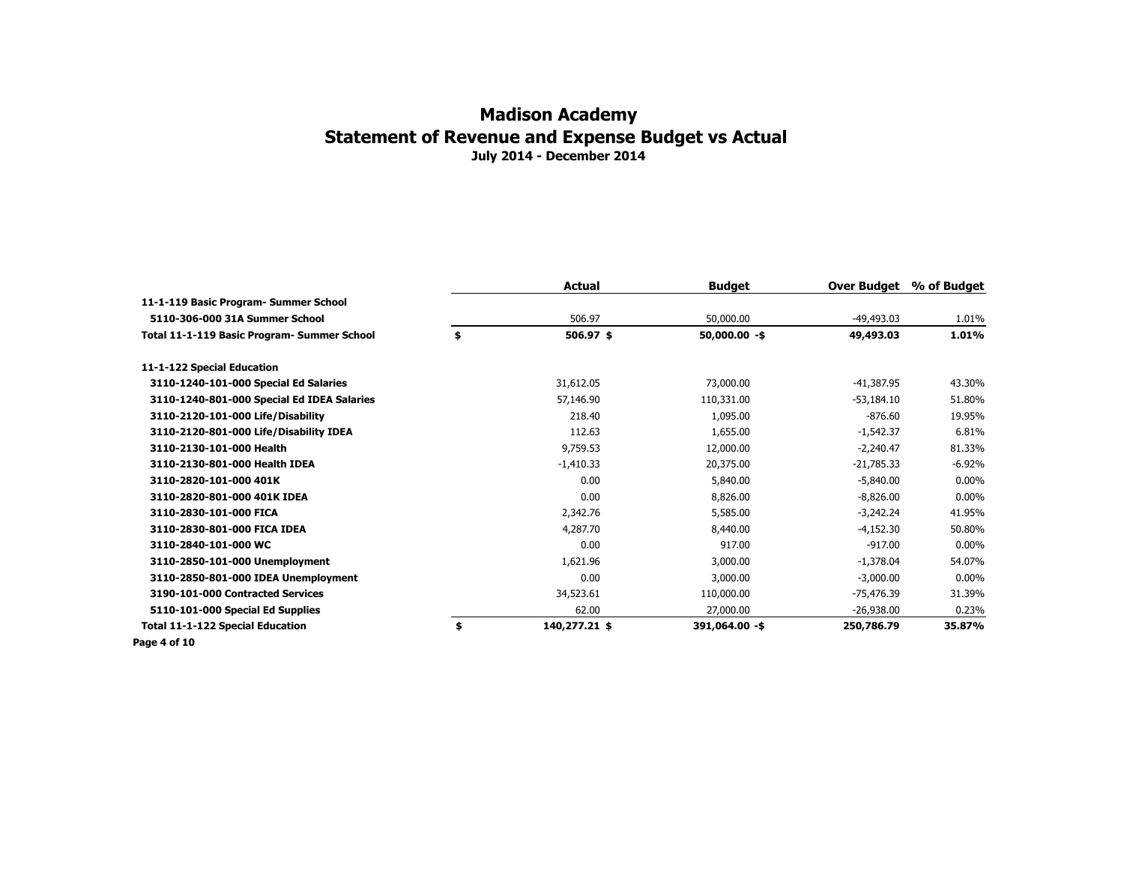|                                             | Actual              | <b>Budget</b>   | Over Budget  | % of Budget |
|---------------------------------------------|---------------------|-----------------|--------------|-------------|
| 11-1-119 Basic Program- Summer School       |                     |                 |              |             |
| 5110-306-000 31A Summer School              | 506.97              | 50,000.00       | $-49,493.03$ | 1.01%       |
| Total 11-1-119 Basic Program- Summer School | \$<br>$506.97$ \$   | $50,000.00 - $$ | 49,493.03    | 1.01%       |
| 11-1-122 Special Education                  |                     |                 |              |             |
| 3110-1240-101-000 Special Ed Salaries       | 31,612.05           | 73,000.00       | $-41,387.95$ | 43.30%      |
| 3110-1240-801-000 Special Ed IDEA Salaries  | 57,146.90           | 110,331.00      | $-53,184.10$ | 51.80%      |
| 3110-2120-101-000 Life/Disability           | 218.40              | 1,095.00        | $-876.60$    | 19.95%      |
| 3110-2120-801-000 Life/Disability IDEA      | 112.63              | 1,655.00        | $-1,542.37$  | 6.81%       |
| 3110-2130-101-000 Health                    | 9,759.53            | 12,000.00       | $-2,240.47$  | 81.33%      |
| 3110-2130-801-000 Health IDEA               | $-1,410.33$         | 20,375.00       | $-21,785.33$ | $-6.92%$    |
| 3110-2820-101-000 401K                      | 0.00                | 5,840.00        | $-5,840.00$  | $0.00\%$    |
| 3110-2820-801-000 401K IDEA                 | 0.00                | 8,826.00        | $-8,826.00$  | $0.00\%$    |
| 3110-2830-101-000 FICA                      | 2,342.76            | 5,585.00        | $-3,242.24$  | 41.95%      |
| 3110-2830-801-000 FICA IDEA                 | 4,287.70            | 8,440.00        | $-4,152.30$  | 50.80%      |
| 3110-2840-101-000 WC                        | 0.00                | 917.00          | $-917.00$    | $0.00\%$    |
| 3110-2850-101-000 Unemployment              | 1,621.96            | 3,000.00        | $-1,378.04$  | 54.07%      |
| 3110-2850-801-000 IDEA Unemployment         | 0.00                | 3,000.00        | $-3.000.00$  | $0.00\%$    |
| 3190-101-000 Contracted Services            | 34,523.61           | 110,000.00      | -75,476.39   | 31.39%      |
| 5110-101-000 Special Ed Supplies            | 62.00               | 27,000.00       | $-26,938.00$ | 0.23%       |
| <b>Total 11-1-122 Special Education</b>     | \$<br>140,277.21 \$ | 391,064.00 -\$  | 250,786.79   | 35.87%      |
| Page 4 of 10                                |                     |                 |              |             |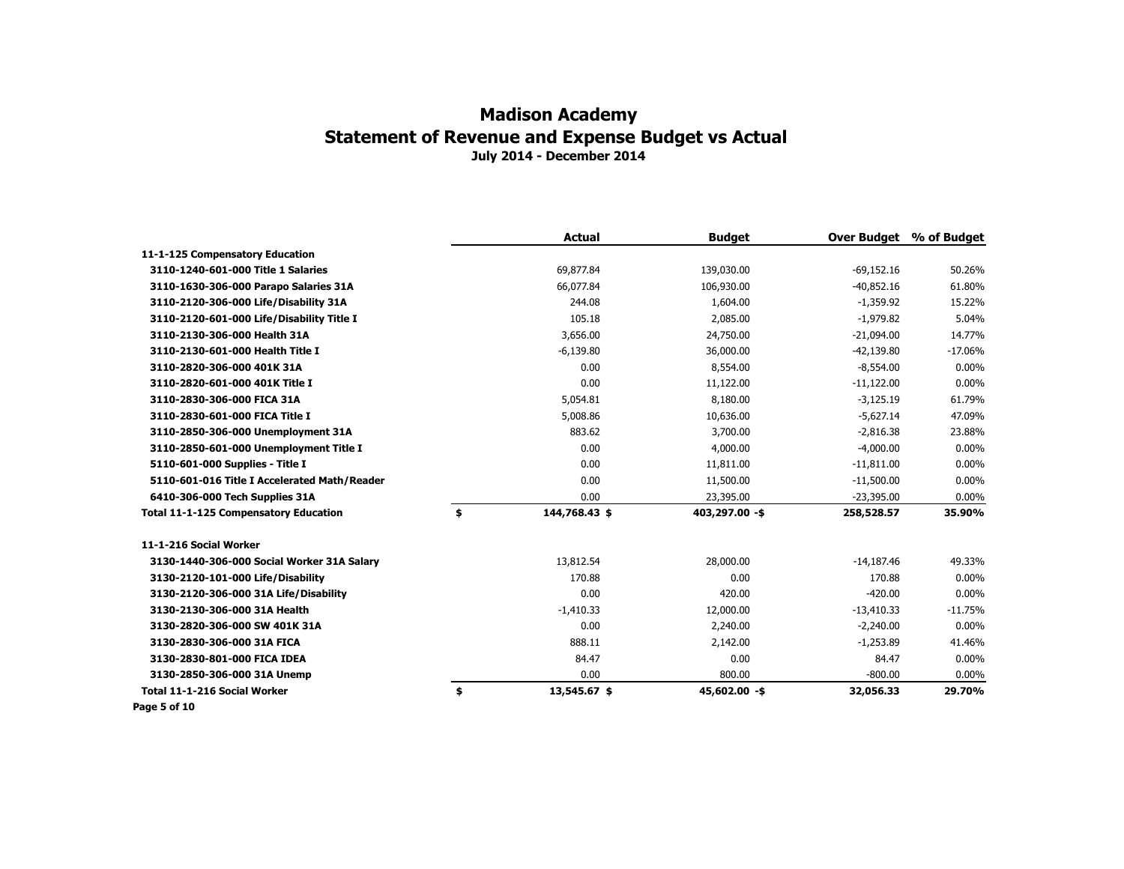| 11-1-125 Compensatory Education<br>3110-1240-601-000 Title 1 Salaries<br>69,877.84<br>139,030.00<br>$-69,152.16$<br>50.26%<br>$-40,852.16$<br>3110-1630-306-000 Parapo Salaries 31A<br>66,077.84<br>106,930.00<br>61.80%<br>244.08<br>3110-2120-306-000 Life/Disability 31A<br>1,604.00<br>$-1,359.92$<br>15.22%<br>105.18<br>2,085.00<br>3110-2120-601-000 Life/Disability Title I<br>$-1,979.82$<br>5.04%<br>3110-2130-306-000 Health 31A<br>3,656,00<br>24,750.00<br>$-21.094.00$<br>14.77%<br>3110-2130-601-000 Health Title I<br>$-6,139.80$<br>36,000.00<br>-42,139.80<br>$-17.06%$<br>0.00<br>$0.00\%$<br>3110-2820-306-000 401K 31A<br>8,554.00<br>$-8,554.00$<br>0.00<br>$-11,122.00$<br>3110-2820-601-000 401K Title I<br>11,122.00<br>$0.00\%$<br>8,180.00<br>$-3,125.19$<br>61.79%<br>3110-2830-306-000 FICA 31A<br>5,054.81<br>5,008.86<br>3110-2830-601-000 FICA Title I<br>10,636.00<br>$-5,627.14$<br>47.09%<br>883.62<br>3110-2850-306-000 Unemployment 31A<br>3,700.00<br>$-2,816.38$<br>23.88%<br>0.00<br>4,000.00<br>$-4,000.00$<br>$0.00\%$<br>3110-2850-601-000 Unemployment Title I<br>0.00<br>11,811.00<br>5110-601-000 Supplies - Title I<br>$-11,811.00$<br>$0.00\%$<br>0.00<br>5110-601-016 Title I Accelerated Math/Reader<br>11,500.00<br>$-11,500.00$<br>$0.00\%$<br>0.00<br>6410-306-000 Tech Supplies 31A<br>23,395.00<br>$-23,395.00$<br>$0.00\%$<br>\$<br>403,297.00 -\$<br>35.90%<br>Total 11-1-125 Compensatory Education<br>144,768.43 \$<br>258,528.57<br>11-1-216 Social Worker<br>13,812.54<br>28,000.00<br>$-14,187.46$<br>49.33%<br>3130-1440-306-000 Social Worker 31A Salary<br>170.88<br>0.00<br>170.88<br>3130-2120-101-000 Life/Disability<br>$0.00\%$<br>0.00<br>420.00<br>$-420.00$<br>$0.00\%$<br>3130-2120-306-000 31A Life/Disability<br>$-1,410.33$<br>3130-2130-306-000 31A Health<br>12,000.00<br>$-13,410.33$<br>$-11.75%$<br>0.00<br>2,240.00<br>$-2,240.00$<br>$0.00\%$<br>3130-2820-306-000 SW 401K 31A<br>888.11<br>2,142.00<br>3130-2830-306-000 31A FICA<br>$-1,253.89$<br>41.46%<br>84.47<br>0.00<br>3130-2830-801-000 FICA IDEA<br>84.47<br>$0.00\%$<br>0.00<br>800.00<br>$-800.00$<br>3130-2850-306-000 31A Unemp<br>$0.00\%$<br>Total 11-1-216 Social Worker<br>\$<br>13,545.67 \$<br>45,602.00 -\$<br>29.70%<br>32,056.33 |  | <b>Actual</b> | <b>Budget</b> | <b>Over Budget</b> | % of Budget |
|----------------------------------------------------------------------------------------------------------------------------------------------------------------------------------------------------------------------------------------------------------------------------------------------------------------------------------------------------------------------------------------------------------------------------------------------------------------------------------------------------------------------------------------------------------------------------------------------------------------------------------------------------------------------------------------------------------------------------------------------------------------------------------------------------------------------------------------------------------------------------------------------------------------------------------------------------------------------------------------------------------------------------------------------------------------------------------------------------------------------------------------------------------------------------------------------------------------------------------------------------------------------------------------------------------------------------------------------------------------------------------------------------------------------------------------------------------------------------------------------------------------------------------------------------------------------------------------------------------------------------------------------------------------------------------------------------------------------------------------------------------------------------------------------------------------------------------------------------------------------------------------------------------------------------------------------------------------------------------------------------------------------------------------------------------------------------------------------------------------------------------------------------------------------------------------------------------------------------------------------------------------------------------------------|--|---------------|---------------|--------------------|-------------|
|                                                                                                                                                                                                                                                                                                                                                                                                                                                                                                                                                                                                                                                                                                                                                                                                                                                                                                                                                                                                                                                                                                                                                                                                                                                                                                                                                                                                                                                                                                                                                                                                                                                                                                                                                                                                                                                                                                                                                                                                                                                                                                                                                                                                                                                                                              |  |               |               |                    |             |
|                                                                                                                                                                                                                                                                                                                                                                                                                                                                                                                                                                                                                                                                                                                                                                                                                                                                                                                                                                                                                                                                                                                                                                                                                                                                                                                                                                                                                                                                                                                                                                                                                                                                                                                                                                                                                                                                                                                                                                                                                                                                                                                                                                                                                                                                                              |  |               |               |                    |             |
|                                                                                                                                                                                                                                                                                                                                                                                                                                                                                                                                                                                                                                                                                                                                                                                                                                                                                                                                                                                                                                                                                                                                                                                                                                                                                                                                                                                                                                                                                                                                                                                                                                                                                                                                                                                                                                                                                                                                                                                                                                                                                                                                                                                                                                                                                              |  |               |               |                    |             |
|                                                                                                                                                                                                                                                                                                                                                                                                                                                                                                                                                                                                                                                                                                                                                                                                                                                                                                                                                                                                                                                                                                                                                                                                                                                                                                                                                                                                                                                                                                                                                                                                                                                                                                                                                                                                                                                                                                                                                                                                                                                                                                                                                                                                                                                                                              |  |               |               |                    |             |
|                                                                                                                                                                                                                                                                                                                                                                                                                                                                                                                                                                                                                                                                                                                                                                                                                                                                                                                                                                                                                                                                                                                                                                                                                                                                                                                                                                                                                                                                                                                                                                                                                                                                                                                                                                                                                                                                                                                                                                                                                                                                                                                                                                                                                                                                                              |  |               |               |                    |             |
|                                                                                                                                                                                                                                                                                                                                                                                                                                                                                                                                                                                                                                                                                                                                                                                                                                                                                                                                                                                                                                                                                                                                                                                                                                                                                                                                                                                                                                                                                                                                                                                                                                                                                                                                                                                                                                                                                                                                                                                                                                                                                                                                                                                                                                                                                              |  |               |               |                    |             |
|                                                                                                                                                                                                                                                                                                                                                                                                                                                                                                                                                                                                                                                                                                                                                                                                                                                                                                                                                                                                                                                                                                                                                                                                                                                                                                                                                                                                                                                                                                                                                                                                                                                                                                                                                                                                                                                                                                                                                                                                                                                                                                                                                                                                                                                                                              |  |               |               |                    |             |
|                                                                                                                                                                                                                                                                                                                                                                                                                                                                                                                                                                                                                                                                                                                                                                                                                                                                                                                                                                                                                                                                                                                                                                                                                                                                                                                                                                                                                                                                                                                                                                                                                                                                                                                                                                                                                                                                                                                                                                                                                                                                                                                                                                                                                                                                                              |  |               |               |                    |             |
|                                                                                                                                                                                                                                                                                                                                                                                                                                                                                                                                                                                                                                                                                                                                                                                                                                                                                                                                                                                                                                                                                                                                                                                                                                                                                                                                                                                                                                                                                                                                                                                                                                                                                                                                                                                                                                                                                                                                                                                                                                                                                                                                                                                                                                                                                              |  |               |               |                    |             |
|                                                                                                                                                                                                                                                                                                                                                                                                                                                                                                                                                                                                                                                                                                                                                                                                                                                                                                                                                                                                                                                                                                                                                                                                                                                                                                                                                                                                                                                                                                                                                                                                                                                                                                                                                                                                                                                                                                                                                                                                                                                                                                                                                                                                                                                                                              |  |               |               |                    |             |
|                                                                                                                                                                                                                                                                                                                                                                                                                                                                                                                                                                                                                                                                                                                                                                                                                                                                                                                                                                                                                                                                                                                                                                                                                                                                                                                                                                                                                                                                                                                                                                                                                                                                                                                                                                                                                                                                                                                                                                                                                                                                                                                                                                                                                                                                                              |  |               |               |                    |             |
|                                                                                                                                                                                                                                                                                                                                                                                                                                                                                                                                                                                                                                                                                                                                                                                                                                                                                                                                                                                                                                                                                                                                                                                                                                                                                                                                                                                                                                                                                                                                                                                                                                                                                                                                                                                                                                                                                                                                                                                                                                                                                                                                                                                                                                                                                              |  |               |               |                    |             |
|                                                                                                                                                                                                                                                                                                                                                                                                                                                                                                                                                                                                                                                                                                                                                                                                                                                                                                                                                                                                                                                                                                                                                                                                                                                                                                                                                                                                                                                                                                                                                                                                                                                                                                                                                                                                                                                                                                                                                                                                                                                                                                                                                                                                                                                                                              |  |               |               |                    |             |
|                                                                                                                                                                                                                                                                                                                                                                                                                                                                                                                                                                                                                                                                                                                                                                                                                                                                                                                                                                                                                                                                                                                                                                                                                                                                                                                                                                                                                                                                                                                                                                                                                                                                                                                                                                                                                                                                                                                                                                                                                                                                                                                                                                                                                                                                                              |  |               |               |                    |             |
|                                                                                                                                                                                                                                                                                                                                                                                                                                                                                                                                                                                                                                                                                                                                                                                                                                                                                                                                                                                                                                                                                                                                                                                                                                                                                                                                                                                                                                                                                                                                                                                                                                                                                                                                                                                                                                                                                                                                                                                                                                                                                                                                                                                                                                                                                              |  |               |               |                    |             |
|                                                                                                                                                                                                                                                                                                                                                                                                                                                                                                                                                                                                                                                                                                                                                                                                                                                                                                                                                                                                                                                                                                                                                                                                                                                                                                                                                                                                                                                                                                                                                                                                                                                                                                                                                                                                                                                                                                                                                                                                                                                                                                                                                                                                                                                                                              |  |               |               |                    |             |
|                                                                                                                                                                                                                                                                                                                                                                                                                                                                                                                                                                                                                                                                                                                                                                                                                                                                                                                                                                                                                                                                                                                                                                                                                                                                                                                                                                                                                                                                                                                                                                                                                                                                                                                                                                                                                                                                                                                                                                                                                                                                                                                                                                                                                                                                                              |  |               |               |                    |             |
|                                                                                                                                                                                                                                                                                                                                                                                                                                                                                                                                                                                                                                                                                                                                                                                                                                                                                                                                                                                                                                                                                                                                                                                                                                                                                                                                                                                                                                                                                                                                                                                                                                                                                                                                                                                                                                                                                                                                                                                                                                                                                                                                                                                                                                                                                              |  |               |               |                    |             |
|                                                                                                                                                                                                                                                                                                                                                                                                                                                                                                                                                                                                                                                                                                                                                                                                                                                                                                                                                                                                                                                                                                                                                                                                                                                                                                                                                                                                                                                                                                                                                                                                                                                                                                                                                                                                                                                                                                                                                                                                                                                                                                                                                                                                                                                                                              |  |               |               |                    |             |
|                                                                                                                                                                                                                                                                                                                                                                                                                                                                                                                                                                                                                                                                                                                                                                                                                                                                                                                                                                                                                                                                                                                                                                                                                                                                                                                                                                                                                                                                                                                                                                                                                                                                                                                                                                                                                                                                                                                                                                                                                                                                                                                                                                                                                                                                                              |  |               |               |                    |             |
|                                                                                                                                                                                                                                                                                                                                                                                                                                                                                                                                                                                                                                                                                                                                                                                                                                                                                                                                                                                                                                                                                                                                                                                                                                                                                                                                                                                                                                                                                                                                                                                                                                                                                                                                                                                                                                                                                                                                                                                                                                                                                                                                                                                                                                                                                              |  |               |               |                    |             |
|                                                                                                                                                                                                                                                                                                                                                                                                                                                                                                                                                                                                                                                                                                                                                                                                                                                                                                                                                                                                                                                                                                                                                                                                                                                                                                                                                                                                                                                                                                                                                                                                                                                                                                                                                                                                                                                                                                                                                                                                                                                                                                                                                                                                                                                                                              |  |               |               |                    |             |
|                                                                                                                                                                                                                                                                                                                                                                                                                                                                                                                                                                                                                                                                                                                                                                                                                                                                                                                                                                                                                                                                                                                                                                                                                                                                                                                                                                                                                                                                                                                                                                                                                                                                                                                                                                                                                                                                                                                                                                                                                                                                                                                                                                                                                                                                                              |  |               |               |                    |             |
|                                                                                                                                                                                                                                                                                                                                                                                                                                                                                                                                                                                                                                                                                                                                                                                                                                                                                                                                                                                                                                                                                                                                                                                                                                                                                                                                                                                                                                                                                                                                                                                                                                                                                                                                                                                                                                                                                                                                                                                                                                                                                                                                                                                                                                                                                              |  |               |               |                    |             |
|                                                                                                                                                                                                                                                                                                                                                                                                                                                                                                                                                                                                                                                                                                                                                                                                                                                                                                                                                                                                                                                                                                                                                                                                                                                                                                                                                                                                                                                                                                                                                                                                                                                                                                                                                                                                                                                                                                                                                                                                                                                                                                                                                                                                                                                                                              |  |               |               |                    |             |
|                                                                                                                                                                                                                                                                                                                                                                                                                                                                                                                                                                                                                                                                                                                                                                                                                                                                                                                                                                                                                                                                                                                                                                                                                                                                                                                                                                                                                                                                                                                                                                                                                                                                                                                                                                                                                                                                                                                                                                                                                                                                                                                                                                                                                                                                                              |  |               |               |                    |             |
|                                                                                                                                                                                                                                                                                                                                                                                                                                                                                                                                                                                                                                                                                                                                                                                                                                                                                                                                                                                                                                                                                                                                                                                                                                                                                                                                                                                                                                                                                                                                                                                                                                                                                                                                                                                                                                                                                                                                                                                                                                                                                                                                                                                                                                                                                              |  |               |               |                    |             |

**Page 5 of 10**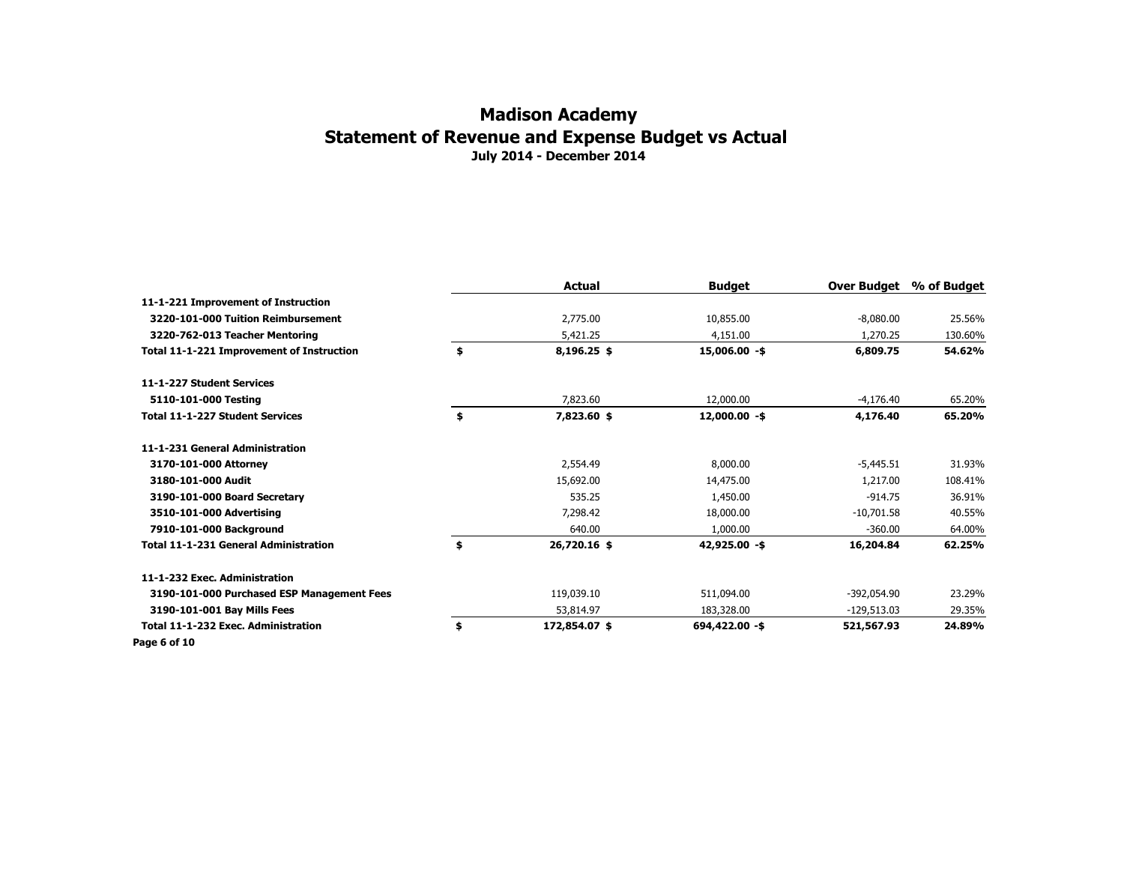|                                              | <b>Actual</b>       | Budget          | Over Budget   | % of Budget |
|----------------------------------------------|---------------------|-----------------|---------------|-------------|
| 11-1-221 Improvement of Instruction          |                     |                 |               |             |
| 3220-101-000 Tuition Reimbursement           | 2,775.00            | 10,855.00       | $-8,080.00$   | 25.56%      |
| 3220-762-013 Teacher Mentoring               | 5,421.25            | 4,151.00        | 1,270.25      | 130.60%     |
| Total 11-1-221 Improvement of Instruction    | \$<br>8,196.25 \$   | $15,006.00 - $$ | 6,809.75      | 54.62%      |
| 11-1-227 Student Services                    |                     |                 |               |             |
| 5110-101-000 Testing                         | 7,823.60            | 12,000.00       | $-4,176.40$   | 65.20%      |
| <b>Total 11-1-227 Student Services</b>       | \$<br>7,823.60 \$   | $12,000.00 - $$ | 4,176.40      | 65.20%      |
| 11-1-231 General Administration              |                     |                 |               |             |
| 3170-101-000 Attorney                        | 2,554.49            | 8,000.00        | $-5,445.51$   | 31.93%      |
| 3180-101-000 Audit                           | 15,692.00           | 14,475.00       | 1,217.00      | 108.41%     |
| 3190-101-000 Board Secretary                 | 535.25              | 1,450.00        | $-914.75$     | 36.91%      |
| 3510-101-000 Advertising                     | 7,298.42            | 18,000.00       | $-10,701.58$  | 40.55%      |
| 7910-101-000 Background                      | 640.00              | 1,000.00        | $-360.00$     | 64.00%      |
| <b>Total 11-1-231 General Administration</b> | \$<br>26,720.16 \$  | 42,925.00 -\$   | 16,204.84     | 62.25%      |
| 11-1-232 Exec. Administration                |                     |                 |               |             |
| 3190-101-000 Purchased ESP Management Fees   | 119,039.10          | 511,094.00      | -392,054.90   | 23.29%      |
| 3190-101-001 Bay Mills Fees                  | 53,814.97           | 183,328.00      | $-129,513.03$ | 29.35%      |
| Total 11-1-232 Exec. Administration          | \$<br>172,854.07 \$ | 694,422.00 -\$  | 521,567.93    | 24.89%      |
| Page 6 of 10                                 |                     |                 |               |             |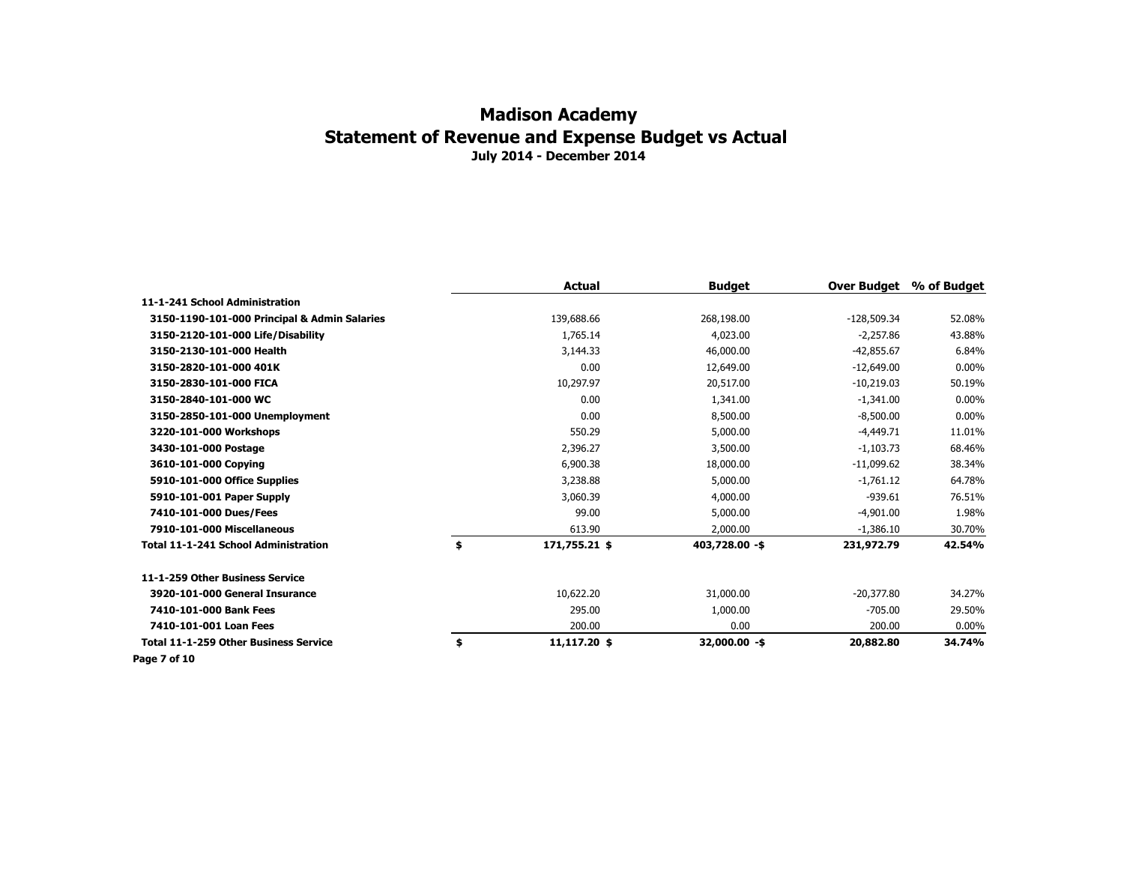|                                              | Actual              | <b>Budget</b>  | Over Budget   | % of Budget |
|----------------------------------------------|---------------------|----------------|---------------|-------------|
| 11-1-241 School Administration               |                     |                |               |             |
| 3150-1190-101-000 Principal & Admin Salaries | 139,688.66          | 268,198.00     | $-128,509.34$ | 52.08%      |
| 3150-2120-101-000 Life/Disability            | 1,765.14            | 4,023.00       | $-2,257.86$   | 43.88%      |
| 3150-2130-101-000 Health                     | 3,144,33            | 46,000,00      | $-42.855.67$  | 6.84%       |
| 3150-2820-101-000 401K                       | 0.00                | 12,649.00      | $-12,649.00$  | $0.00\%$    |
| 3150-2830-101-000 FICA                       | 10,297.97           | 20,517.00      | $-10,219.03$  | 50.19%      |
| 3150-2840-101-000 WC                         | 0.00                | 1,341.00       | $-1,341.00$   | $0.00\%$    |
| 3150-2850-101-000 Unemployment               | 0.00                | 8,500.00       | $-8,500.00$   | $0.00\%$    |
| 3220-101-000 Workshops                       | 550.29              | 5,000.00       | $-4,449.71$   | 11.01%      |
| 3430-101-000 Postage                         | 2,396.27            | 3,500.00       | $-1,103.73$   | 68.46%      |
| 3610-101-000 Copying                         | 6,900.38            | 18,000.00      | $-11,099.62$  | 38.34%      |
| 5910-101-000 Office Supplies                 | 3,238.88            | 5,000.00       | $-1,761.12$   | 64.78%      |
| 5910-101-001 Paper Supply                    | 3,060.39            | 4,000.00       | $-939.61$     | 76.51%      |
| 7410-101-000 Dues/Fees                       | 99.00               | 5,000.00       | $-4,901.00$   | 1.98%       |
| 7910-101-000 Miscellaneous                   | 613.90              | 2,000.00       | $-1,386.10$   | 30.70%      |
| <b>Total 11-1-241 School Administration</b>  | \$<br>171,755.21 \$ | 403,728.00 -\$ | 231,972.79    | 42.54%      |
| 11-1-259 Other Business Service              |                     |                |               |             |
| 3920-101-000 General Insurance               | 10,622.20           | 31,000.00      | $-20,377.80$  | 34.27%      |
| 7410-101-000 Bank Fees                       | 295.00              | 1,000.00       | $-705.00$     | 29.50%      |
| 7410-101-001 Loan Fees                       | 200.00              | 0.00           | 200.00        | $0.00\%$    |
| <b>Total 11-1-259 Other Business Service</b> | \$<br>11,117.20 \$  | 32,000.00 -\$  | 20,882.80     | 34.74%      |
| Page 7 of 10                                 |                     |                |               |             |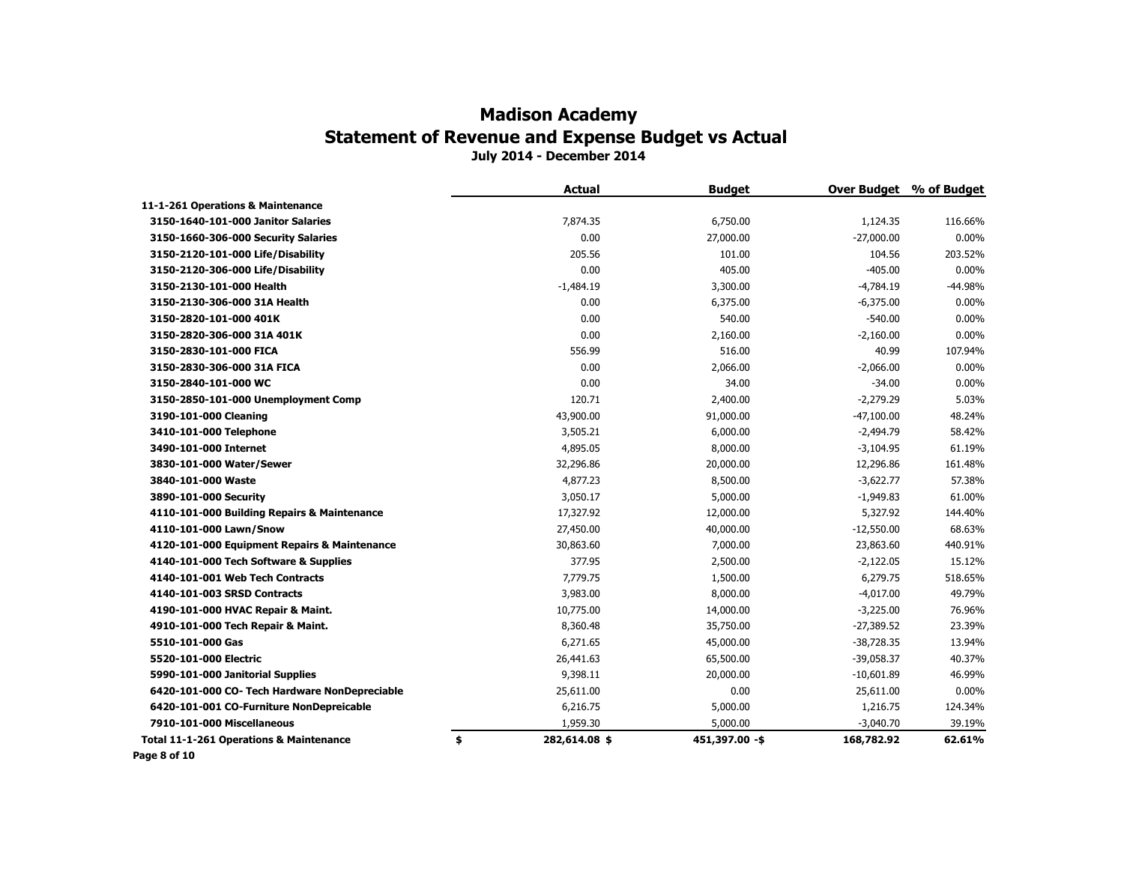|                                                    | <b>Actual</b>       | <b>Budget</b>  |              | Over Budget % of Budget |
|----------------------------------------------------|---------------------|----------------|--------------|-------------------------|
| 11-1-261 Operations & Maintenance                  |                     |                |              |                         |
| 3150-1640-101-000 Janitor Salaries                 | 7,874.35            | 6,750.00       | 1,124.35     | 116.66%                 |
| 3150-1660-306-000 Security Salaries                | 0.00                | 27,000.00      | $-27,000.00$ | 0.00%                   |
| 3150-2120-101-000 Life/Disability                  | 205.56              | 101.00         | 104.56       | 203.52%                 |
| 3150-2120-306-000 Life/Disability                  | 0.00                | 405.00         | $-405.00$    | 0.00%                   |
| 3150-2130-101-000 Health                           | $-1,484.19$         | 3,300.00       | $-4,784.19$  | $-44.98%$               |
| 3150-2130-306-000 31A Health                       | 0.00                | 6,375.00       | $-6,375.00$  | 0.00%                   |
| 3150-2820-101-000 401K                             | 0.00                | 540.00         | $-540.00$    | $0.00\%$                |
| 3150-2820-306-000 31A 401K                         | 0.00                | 2,160.00       | $-2,160.00$  | 0.00%                   |
| 3150-2830-101-000 FICA                             | 556.99              | 516.00         | 40.99        | 107.94%                 |
| 3150-2830-306-000 31A FICA                         | 0.00                | 2,066.00       | $-2,066.00$  | 0.00%                   |
| 3150-2840-101-000 WC                               | 0.00                | 34.00          | $-34.00$     | $0.00\%$                |
| 3150-2850-101-000 Unemployment Comp                | 120.71              | 2,400.00       | $-2,279.29$  | 5.03%                   |
| 3190-101-000 Cleaning                              | 43,900.00           | 91,000.00      | $-47,100.00$ | 48.24%                  |
| 3410-101-000 Telephone                             | 3,505.21            | 6,000.00       | $-2,494.79$  | 58.42%                  |
| 3490-101-000 Internet                              | 4,895.05            | 8,000.00       | $-3,104.95$  | 61.19%                  |
| 3830-101-000 Water/Sewer                           | 32,296.86           | 20,000.00      | 12,296.86    | 161.48%                 |
| 3840-101-000 Waste                                 | 4,877.23            | 8,500.00       | $-3,622.77$  | 57.38%                  |
| 3890-101-000 Security                              | 3,050.17            | 5,000.00       | $-1,949.83$  | 61.00%                  |
| 4110-101-000 Building Repairs & Maintenance        | 17,327.92           | 12,000.00      | 5,327.92     | 144.40%                 |
| 4110-101-000 Lawn/Snow                             | 27,450.00           | 40,000.00      | $-12,550.00$ | 68.63%                  |
| 4120-101-000 Equipment Repairs & Maintenance       | 30,863.60           | 7,000.00       | 23,863.60    | 440.91%                 |
| 4140-101-000 Tech Software & Supplies              | 377.95              | 2,500.00       | $-2,122.05$  | 15.12%                  |
| 4140-101-001 Web Tech Contracts                    | 7,779.75            | 1,500.00       | 6,279.75     | 518.65%                 |
| 4140-101-003 SRSD Contracts                        | 3,983.00            | 8,000.00       | $-4,017.00$  | 49.79%                  |
| 4190-101-000 HVAC Repair & Maint.                  | 10,775.00           | 14,000.00      | $-3,225.00$  | 76.96%                  |
| 4910-101-000 Tech Repair & Maint.                  | 8,360.48            | 35,750.00      | $-27,389.52$ | 23.39%                  |
| 5510-101-000 Gas                                   | 6,271.65            | 45,000.00      | $-38,728.35$ | 13.94%                  |
| 5520-101-000 Electric                              | 26,441.63           | 65,500.00      | $-39,058.37$ | 40.37%                  |
| 5990-101-000 Janitorial Supplies                   | 9,398.11            | 20,000.00      | $-10,601.89$ | 46.99%                  |
| 6420-101-000 CO- Tech Hardware NonDepreciable      | 25,611.00           | 0.00           | 25,611.00    | $0.00\%$                |
| 6420-101-001 CO-Furniture NonDepreicable           | 6,216.75            | 5,000.00       | 1,216.75     | 124.34%                 |
| 7910-101-000 Miscellaneous                         | 1,959.30            | 5,000.00       | $-3,040.70$  | 39.19%                  |
| <b>Total 11-1-261 Operations &amp; Maintenance</b> | \$<br>282,614.08 \$ | 451,397.00 -\$ | 168,782.92   | 62.61%                  |
|                                                    |                     |                |              |                         |

**Page 8 of 10**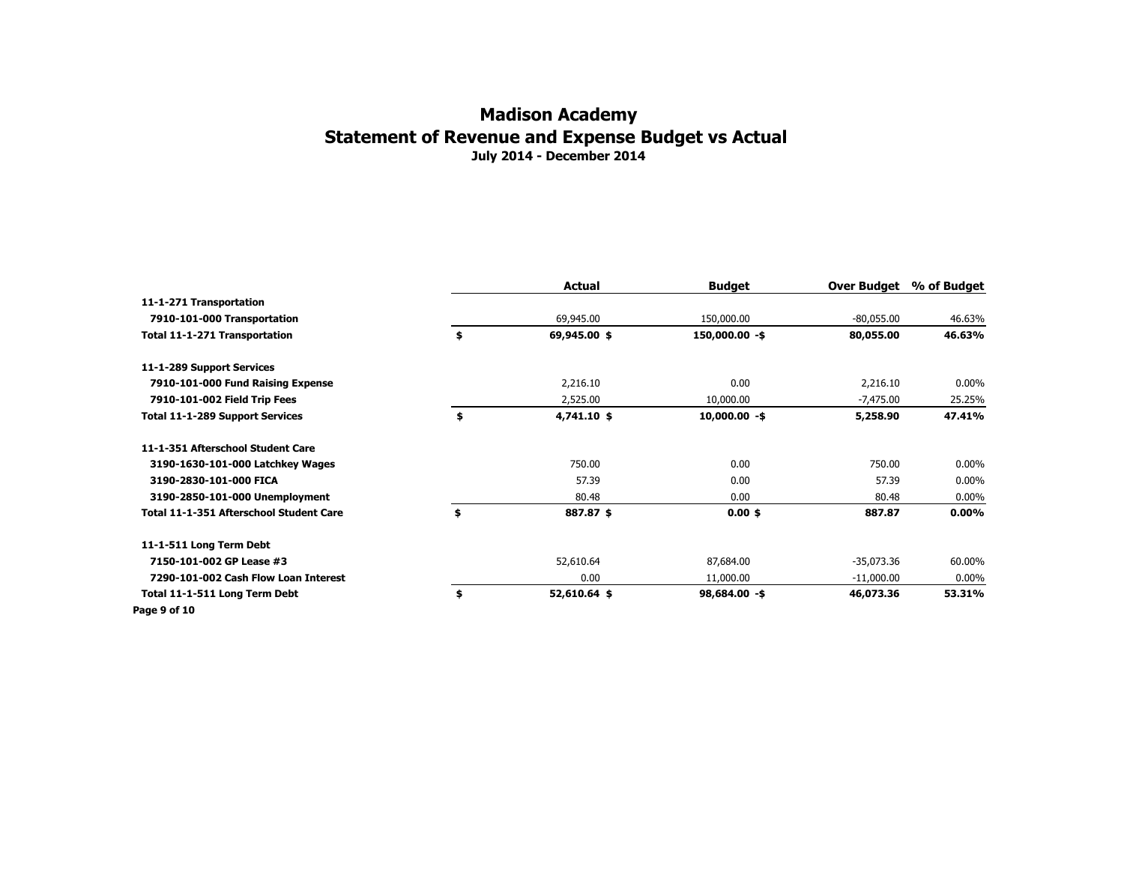|                                         | Actual             | <b>Budget</b>   | Over Budget  | % of Budget |
|-----------------------------------------|--------------------|-----------------|--------------|-------------|
| 11-1-271 Transportation                 |                    |                 |              |             |
| 7910-101-000 Transportation             | 69,945.00          | 150,000.00      | $-80,055.00$ | 46.63%      |
| Total 11-1-271 Transportation           | \$<br>69,945.00 \$ | 150,000.00 -\$  | 80,055.00    | 46.63%      |
| 11-1-289 Support Services               |                    |                 |              |             |
| 7910-101-000 Fund Raising Expense       | 2,216.10           | 0.00            | 2,216.10     | $0.00\%$    |
| 7910-101-002 Field Trip Fees            | 2,525.00           | 10,000.00       | $-7,475.00$  | 25.25%      |
| Total 11-1-289 Support Services         | \$<br>4,741.10 \$  | $10,000.00 - $$ | 5,258.90     | 47.41%      |
| 11-1-351 Afterschool Student Care       |                    |                 |              |             |
| 3190-1630-101-000 Latchkey Wages        | 750.00             | 0.00            | 750.00       | $0.00\%$    |
| 3190-2830-101-000 FICA                  | 57.39              | 0.00            | 57.39        | $0.00\%$    |
| 3190-2850-101-000 Unemployment          | 80.48              | 0.00            | 80.48        | $0.00\%$    |
| Total 11-1-351 Afterschool Student Care | \$<br>887.87 \$    | $0.00$ \$       | 887.87       | $0.00\%$    |
| 11-1-511 Long Term Debt                 |                    |                 |              |             |
| 7150-101-002 GP Lease #3                | 52,610.64          | 87,684.00       | $-35,073.36$ | 60.00%      |
| 7290-101-002 Cash Flow Loan Interest    | 0.00               | 11,000.00       | $-11,000.00$ | $0.00\%$    |
| Total 11-1-511 Long Term Debt           | \$<br>52,610.64 \$ | $98,684.00 - $$ | 46,073.36    | 53.31%      |
| Page 9 of 10                            |                    |                 |              |             |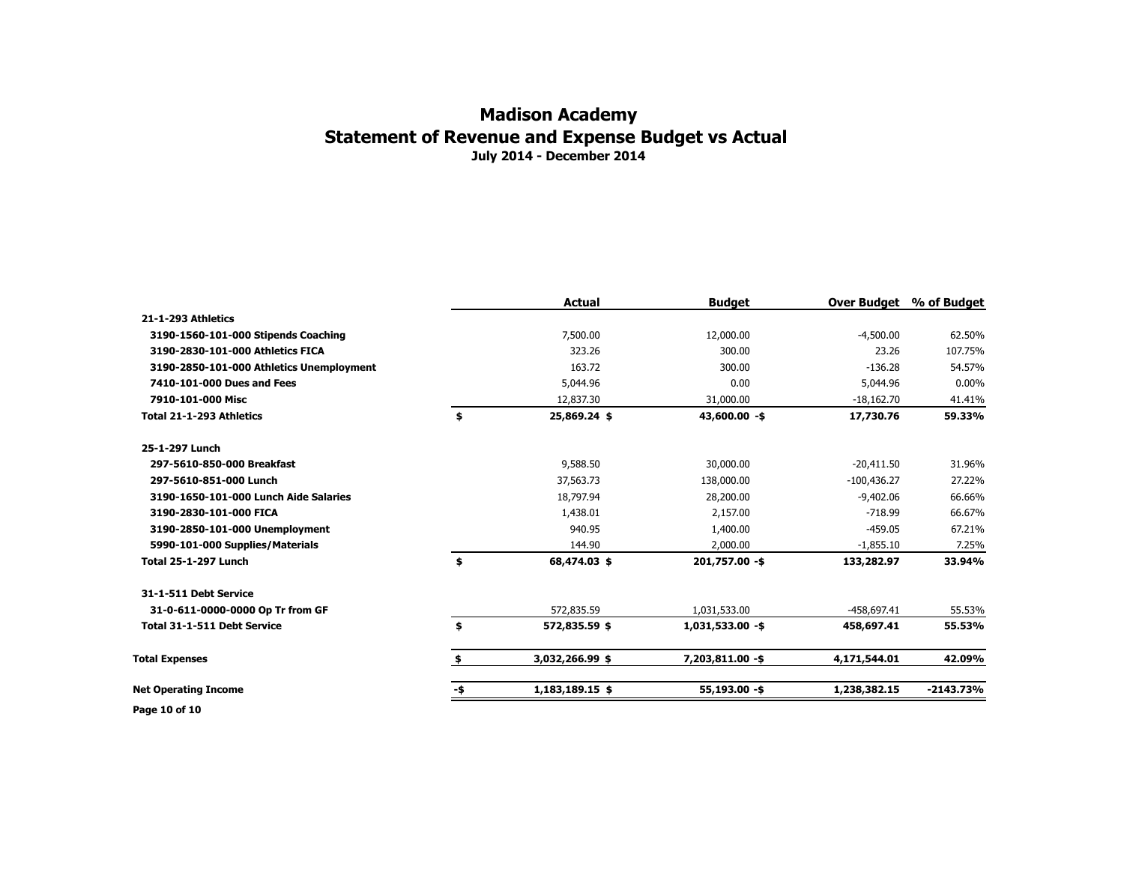#### **July 2014 - December 2014 Madison Academy Statement of Revenue and Expense Budget vs Actual**

|                                          |     | <b>Actual</b>   | <b>Budget</b>      |               | Over Budget % of Budget |
|------------------------------------------|-----|-----------------|--------------------|---------------|-------------------------|
| 21-1-293 Athletics                       |     |                 |                    |               |                         |
| 3190-1560-101-000 Stipends Coaching      |     | 7,500.00        | 12,000.00          | $-4,500.00$   | 62.50%                  |
| 3190-2830-101-000 Athletics FICA         |     | 323.26          | 300.00             | 23.26         | 107.75%                 |
| 3190-2850-101-000 Athletics Unemployment |     | 163.72          | 300.00             | $-136.28$     | 54.57%                  |
| 7410-101-000 Dues and Fees               |     | 5,044.96        | 0.00               | 5,044.96      | $0.00\%$                |
| 7910-101-000 Misc                        |     | 12,837.30       | 31,000.00          | $-18,162.70$  | 41.41%                  |
| Total 21-1-293 Athletics                 | \$  | 25,869.24 \$    | $43,600.00 - $$    | 17,730.76     | 59.33%                  |
| 25-1-297 Lunch                           |     |                 |                    |               |                         |
| 297-5610-850-000 Breakfast               |     | 9,588.50        | 30,000.00          | $-20.411.50$  | 31.96%                  |
| 297-5610-851-000 Lunch                   |     | 37,563.73       | 138,000.00         | $-100,436.27$ | 27.22%                  |
| 3190-1650-101-000 Lunch Aide Salaries    |     | 18,797.94       | 28,200.00          | $-9,402.06$   | 66.66%                  |
| 3190-2830-101-000 FICA                   |     | 1,438.01        | 2,157.00           | $-718.99$     | 66.67%                  |
| 3190-2850-101-000 Unemployment           |     | 940.95          | 1,400.00           | $-459.05$     | 67.21%                  |
| 5990-101-000 Supplies/Materials          |     | 144.90          | 2,000.00           | $-1,855.10$   | 7.25%                   |
| <b>Total 25-1-297 Lunch</b>              | \$  | 68,474.03 \$    | 201,757.00 -\$     | 133,282.97    | 33.94%                  |
| 31-1-511 Debt Service                    |     |                 |                    |               |                         |
| 31-0-611-0000-0000 Op Tr from GF         |     | 572,835.59      | 1,031,533.00       | $-458,697.41$ | 55.53%                  |
| <b>Total 31-1-511 Debt Service</b>       | \$  | 572,835.59 \$   | $1,031,533.00 - $$ | 458,697.41    | 55.53%                  |
| <b>Total Expenses</b>                    |     | 3,032,266.99 \$ | 7,203,811.00 -\$   | 4,171,544.01  | 42.09%                  |
| <b>Net Operating Income</b>              | -\$ | 1,183,189.15 \$ | 55,193.00 -\$      | 1,238,382.15  | $-2143.73%$             |
| B--- 48 -£48                             |     |                 |                    |               |                         |

**Page 10 of 10**